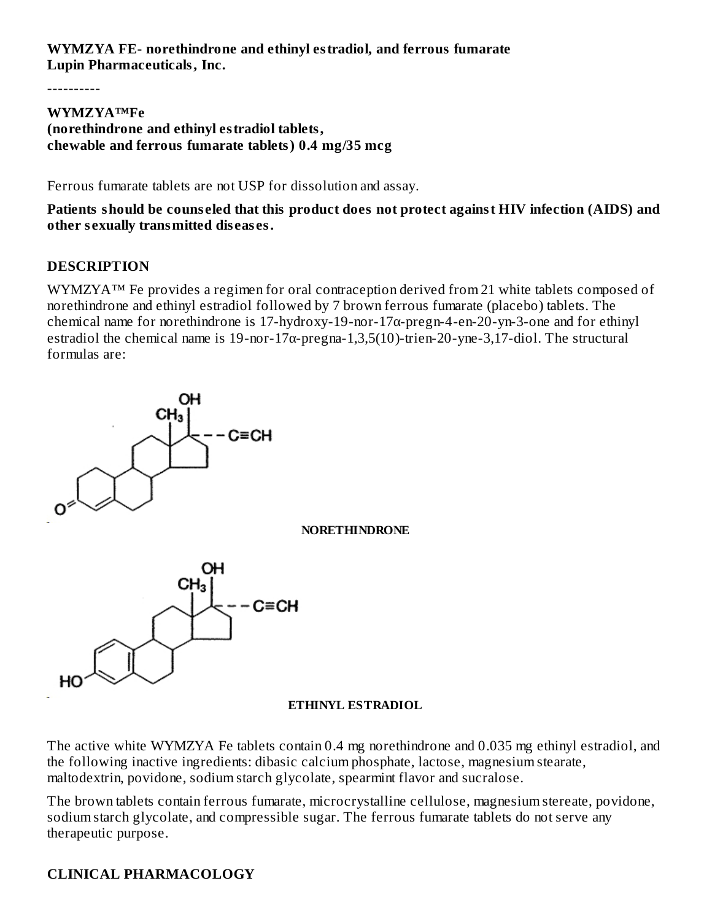**WYMZYA FE- norethindrone and ethinyl estradiol, and ferrous fumarate Lupin Pharmaceuticals, Inc.**

----------

#### **WYMZYA™Fe (norethindrone and ethinyl estradiol tablets, chewable and ferrous fumarate tablets) 0.4 mg/35 mcg**

Ferrous fumarate tablets are not USP for dissolution and assay.

**Patients should be couns eled that this product does not protect against HIV infection (AIDS) and other s exually transmitted dis eas es.**

#### **DESCRIPTION**

WYMZYA™ Fe provides a regimen for oral contraception derived from 21 white tablets composed of norethindrone and ethinyl estradiol followed by 7 brown ferrous fumarate (placebo) tablets. The chemical name for norethindrone is 17-hydroxy-19-nor-17α-pregn-4-en-20-yn-3-one and for ethinyl estradiol the chemical name is 19-nor-17α-pregna-1,3,5(10)-trien-20-yne-3,17-diol. The structural formulas are:



The active white WYMZYA Fe tablets contain 0.4 mg norethindrone and 0.035 mg ethinyl estradiol, and the following inactive ingredients: dibasic calcium phosphate, lactose, magnesium stearate, maltodextrin, povidone, sodium starch glycolate, spearmint flavor and sucralose.

The brown tablets contain ferrous fumarate, microcrystalline cellulose, magnesium stereate, povidone, sodium starch glycolate, and compressible sugar. The ferrous fumarate tablets do not serve any therapeutic purpose.

#### **CLINICAL PHARMACOLOGY**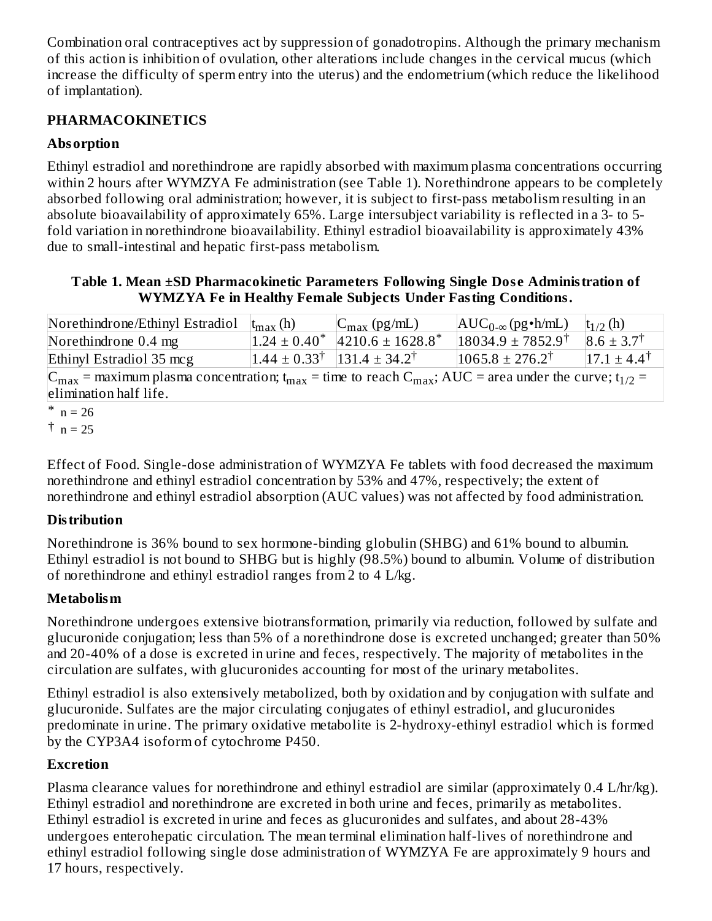Combination oral contraceptives act by suppression of gonadotropins. Although the primary mechanism of this action is inhibition of ovulation, other alterations include changes in the cervical mucus (which increase the difficulty of sperm entry into the uterus) and the endometrium (which reduce the likelihood of implantation).

#### **PHARMACOKINETICS**

#### **Absorption**

Ethinyl estradiol and norethindrone are rapidly absorbed with maximum plasma concentrations occurring within 2 hours after WYMZYA Fe administration (see Table 1). Norethindrone appears to be completely absorbed following oral administration; however, it is subject to first-pass metabolism resulting in an absolute bioavailability of approximately 65%. Large intersubject variability is reflected in a 3- to 5 fold variation in norethindrone bioavailability. Ethinyl estradiol bioavailability is approximately 43% due to small-intestinal and hepatic first-pass metabolism.

#### **Table 1. Mean ±SD Pharmacokinetic Parameters Following Single Dos e Administration of WYMZYA Fe in Healthy Female Subjects Under Fasting Conditions.**

| Norethindrone/Ethinyl Estradiol                                                                                                                                                 | $ t_{\rm max}$ (h)                                       | $C_{\text{max}}$ (pg/mL) | $AUC_{0-\infty}$ (pg•h/mL)     | $t_{1/2}$ (h)            |  |  |  |
|---------------------------------------------------------------------------------------------------------------------------------------------------------------------------------|----------------------------------------------------------|--------------------------|--------------------------------|--------------------------|--|--|--|
| Norethindrone $0.4$ mg                                                                                                                                                          | $1.24 \pm 0.40^*$                                        | $4210.6 \pm 1628.8^*$    | $18034.9 \pm 7852.9^{\dagger}$ | $8.6 \pm 3.7^{\dagger}$  |  |  |  |
| Ethinyl Estradiol 35 mcg                                                                                                                                                        | $1.44 \pm 0.33^{\dagger}$  131.4 $\pm$ 34.2 <sup>†</sup> |                          | $1065.8 \pm 276.2^{\dagger}$   | $17.1 \pm 4.4^{\dagger}$ |  |  |  |
| $ C_{\text{max}} $ = maximum plasma concentration; t <sub>max</sub> = time to reach $C_{\text{max}}$ ; AUC = area under the curve; t <sub>1/2</sub> =<br>elimination half life. |                                                          |                          |                                |                          |  |  |  |

 $n = 26$ 

† n = 25

Effect of Food. Single-dose administration of WYMZYA Fe tablets with food decreased the maximum norethindrone and ethinyl estradiol concentration by 53% and 47%, respectively; the extent of norethindrone and ethinyl estradiol absorption (AUC values) was not affected by food administration.

#### **Distribution**

Norethindrone is 36% bound to sex hormone-binding globulin (SHBG) and 61% bound to albumin. Ethinyl estradiol is not bound to SHBG but is highly (98.5%) bound to albumin. Volume of distribution of norethindrone and ethinyl estradiol ranges from 2 to 4 L/kg.

#### **Metabolism**

Norethindrone undergoes extensive biotransformation, primarily via reduction, followed by sulfate and glucuronide conjugation; less than 5% of a norethindrone dose is excreted unchanged; greater than 50% and 20-40% of a dose is excreted in urine and feces, respectively. The majority of metabolites in the circulation are sulfates, with glucuronides accounting for most of the urinary metabolites.

Ethinyl estradiol is also extensively metabolized, both by oxidation and by conjugation with sulfate and glucuronide. Sulfates are the major circulating conjugates of ethinyl estradiol, and glucuronides predominate in urine. The primary oxidative metabolite is 2-hydroxy-ethinyl estradiol which is formed by the CYP3A4 isoform of cytochrome P450.

#### **Excretion**

Plasma clearance values for norethindrone and ethinyl estradiol are similar (approximately 0.4 L/hr/kg). Ethinyl estradiol and norethindrone are excreted in both urine and feces, primarily as metabolites. Ethinyl estradiol is excreted in urine and feces as glucuronides and sulfates, and about 28-43% undergoes enterohepatic circulation. The mean terminal elimination half-lives of norethindrone and ethinyl estradiol following single dose administration of WYMZYA Fe are approximately 9 hours and 17 hours, respectively.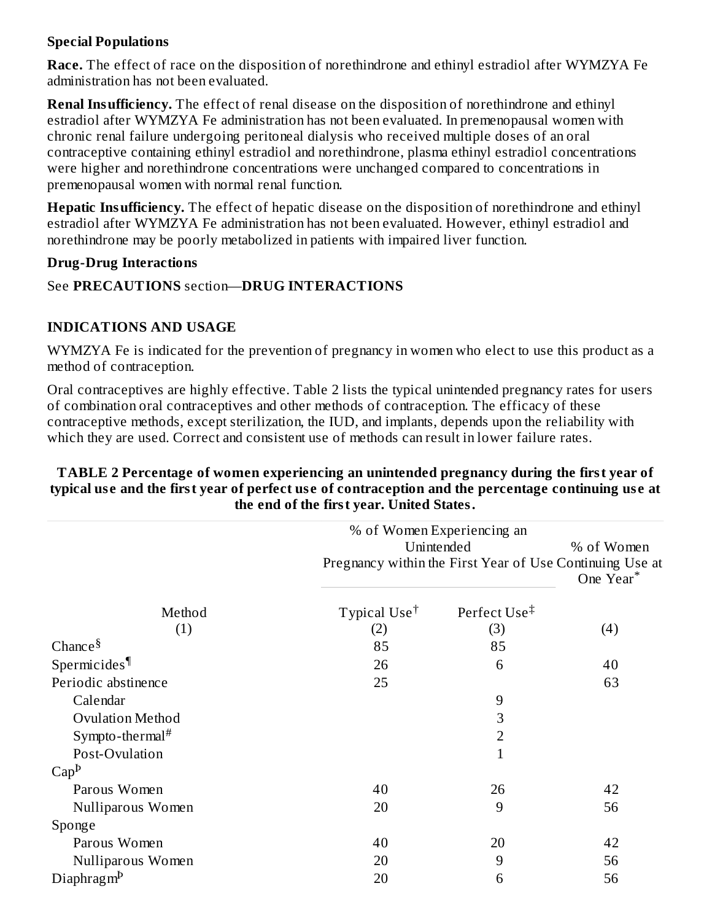#### **Special Populations**

**Race.** The effect of race on the disposition of norethindrone and ethinyl estradiol after WYMZYA Fe administration has not been evaluated.

**Renal Insufficiency.** The effect of renal disease on the disposition of norethindrone and ethinyl estradiol after WYMZYA Fe administration has not been evaluated. In premenopausal women with chronic renal failure undergoing peritoneal dialysis who received multiple doses of an oral contraceptive containing ethinyl estradiol and norethindrone, plasma ethinyl estradiol concentrations were higher and norethindrone concentrations were unchanged compared to concentrations in premenopausal women with normal renal function.

**Hepatic Insufficiency.** The effect of hepatic disease on the disposition of norethindrone and ethinyl estradiol after WYMZYA Fe administration has not been evaluated. However, ethinyl estradiol and norethindrone may be poorly metabolized in patients with impaired liver function.

#### **Drug-Drug Interactions**

#### See **PRECAUTIONS** section—**DRUG INTERACTIONS**

#### **INDICATIONS AND USAGE**

WYMZYA Fe is indicated for the prevention of pregnancy in women who elect to use this product as a method of contraception.

Oral contraceptives are highly effective. Table 2 lists the typical unintended pregnancy rates for users of combination oral contraceptives and other methods of contraception. The efficacy of these contraceptive methods, except sterilization, the IUD, and implants, depends upon the reliability with which they are used. Correct and consistent use of methods can result in lower failure rates.

#### **TABLE 2 Percentage of women experiencing an unintended pregnancy during the first year of** typical use and the first year of perfect use of contraception and the percentage continuing use at **the end of the first year. United States.**

|                             | % of Women Experiencing an<br>Unintended<br>Pregnancy within the First Year of Use Continuing Use at | % of Women<br>One Year <sup>*</sup> |     |  |
|-----------------------------|------------------------------------------------------------------------------------------------------|-------------------------------------|-----|--|
| Method                      | Typical Use <sup><math>\dagger</math></sup>                                                          | Perfect Use <sup>‡</sup>            |     |  |
| (1)                         | (2)                                                                                                  | (3)                                 | (4) |  |
| Chance $\delta$             | 85                                                                                                   | 85                                  |     |  |
| Spermicides                 | 26                                                                                                   | 6                                   | 40  |  |
| Periodic abstinence         | 25                                                                                                   |                                     | 63  |  |
| Calendar                    |                                                                                                      | 9                                   |     |  |
| <b>Ovulation Method</b>     |                                                                                                      | 3                                   |     |  |
| Sympto-thermal <sup>#</sup> |                                                                                                      | $\overline{2}$                      |     |  |
| Post-Ovulation              |                                                                                                      | 1                                   |     |  |
| $Cap^b$                     |                                                                                                      |                                     |     |  |
| Parous Women                | 40                                                                                                   | 26                                  | 42  |  |
| Nulliparous Women           | 20                                                                                                   | 9                                   | 56  |  |
| Sponge                      |                                                                                                      |                                     |     |  |
| Parous Women                | 40                                                                                                   | 20                                  | 42  |  |
| Nulliparous Women           | 20                                                                                                   | 9                                   | 56  |  |
| Diaphragm <sup>b</sup>      | 20                                                                                                   | 6                                   | 56  |  |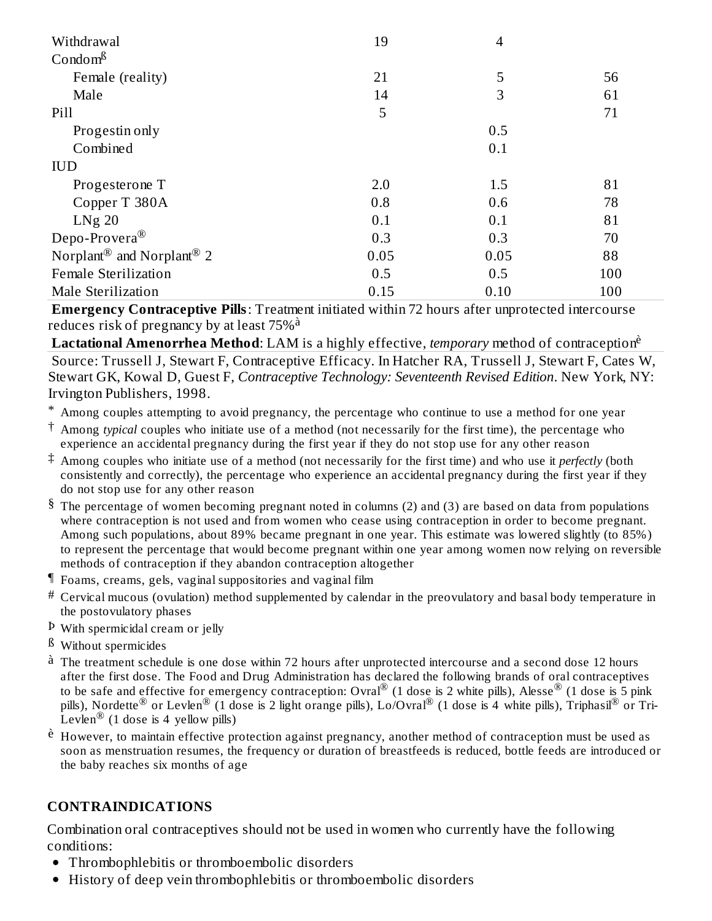| Withdrawal                                        | 19   | $\overline{4}$ |     |
|---------------------------------------------------|------|----------------|-----|
| $Condom^{\beta}$                                  |      |                |     |
| Female (reality)                                  | 21   | 5              | 56  |
| Male                                              | 14   | 3              | 61  |
| Pill                                              | 5    |                | 71  |
| Progestin only                                    |      | 0.5            |     |
| Combined                                          |      | 0.1            |     |
| <b>IUD</b>                                        |      |                |     |
| Progesterone T                                    | 2.0  | 1.5            | 81  |
| Copper T 380A                                     | 0.8  | 0.6            | 78  |
| $LNg$ 20                                          | 0.1  | 0.1            | 81  |
| Depo-Provera <sup>®</sup>                         | 0.3  | 0.3            | 70  |
| Norplant <sup>®</sup> and Norplant <sup>®</sup> 2 | 0.05 | 0.05           | 88  |
| Female Sterilization                              | 0.5  | 0.5            | 100 |
| Male Sterilization                                | 0.15 | 0.10           | 100 |

**Emergency Contraceptive Pills**: Treatment initiated within 72 hours after unprotected intercourse reduces risk of pregnancy by at least 75% à

**Lactational Amenorrhea Method**: LAM is a highly effective, *temporary* method of contraception è

Source: Trussell J, Stewart F, Contraceptive Efficacy. In Hatcher RA, Trussell J, Stewart F, Cates W, Stewart GK, Kowal D, Guest F, *Contraceptive Technology: Seventeenth Revised Edition*. New York, NY: Irvington Publishers, 1998.

- \* Among couples attempting to avoid pregnancy, the percentage who continue to use a method for one year
- † Among *typical* couples who initiate use of a method (not necessarily for the first time), the percentage who experience an accidental pregnancy during the first year if they do not stop use for any other reason
- ‡ Among couples who initiate use of a method (not necessarily for the first time) and who use it *perfectly* (both consistently and correctly), the percentage who experience an accidental pregnancy during the first year if they do not stop use for any other reason
- § The percentage of women becoming pregnant noted in columns (2) and (3) are based on data from populations where contraception is not used and from women who cease using contraception in order to become pregnant. Among such populations, about 89% became pregnant in one year. This estimate was lowered slightly (to 85%) to represent the percentage that would become pregnant within one year among women now relying on reversible methods of contraception if they abandon contraception altogether
- ¶ Foams, creams, gels, vaginal suppositories and vaginal film
- $^\#$  Cervical mucous (ovulation) method supplemented by calendar in the preovulatory and basal body temperature in the postovulatory phases
- Þ With spermicidal cream or jelly
- ß Without spermicides
- à The treatment schedule is one dose within 72 hours after unprotected intercourse and a second dose 12 hours after the first dose. The Food and Drug Administration has declared the following brands of oral contraceptives to be safe and effective for emergency contraception: Ovral $^{\circledR}$  (1 dose is 2 white pills), Alesse $^{\circledR}$  (1 dose is 5 pink pills), Nordette $^\circledR$  or Levlen $^\circledR$  (1 dose is 2 light orange pills), Lo/Ovral $^\circledR$  (1 dose is 4 white pills), Triphasil $^\circledR$  or Tri-Levlen<sup>®</sup> (1 dose is 4 yellow pills)  $\mathbb{B}$  (1 dose is 2 white pills) Alessa $\mathbb{B}$  $\circledR$  or Levlan<sup>®</sup> (1 dose is 2 light orange pills) Lo/Ovral<sup>®</sup> (1 dose is 4 white pills) Triphasil<sup>®</sup>
- è However, to maintain effective protection against pregnancy, another method of contraception must be used as soon as menstruation resumes, the frequency or duration of breastfeeds is reduced, bottle feeds are introduced or the baby reaches six months of age

#### **CONTRAINDICATIONS**

Combination oral contraceptives should not be used in women who currently have the following conditions:

- Thrombophlebitis or thromboembolic disorders
- History of deep vein thrombophlebitis or thromboembolic disorders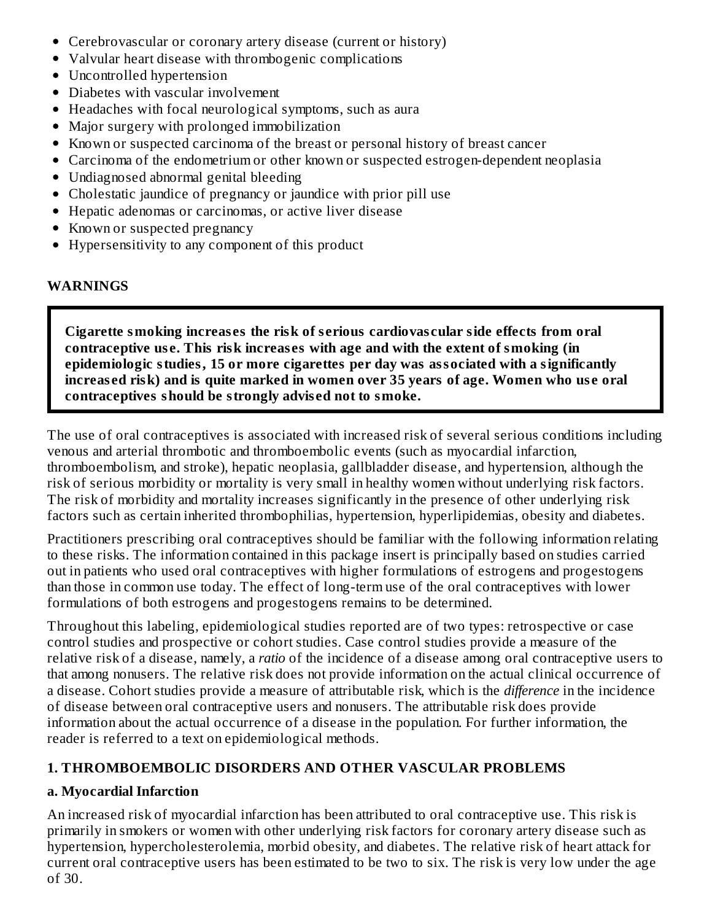- Cerebrovascular or coronary artery disease (current or history)
- Valvular heart disease with thrombogenic complications
- Uncontrolled hypertension
- Diabetes with vascular involvement
- Headaches with focal neurological symptoms, such as aura
- Major surgery with prolonged immobilization
- Known or suspected carcinoma of the breast or personal history of breast cancer
- Carcinoma of the endometrium or other known or suspected estrogen-dependent neoplasia
- Undiagnosed abnormal genital bleeding
- Cholestatic jaundice of pregnancy or jaundice with prior pill use
- Hepatic adenomas or carcinomas, or active liver disease
- Known or suspected pregnancy
- Hypersensitivity to any component of this product

#### **WARNINGS**

**Cigarette smoking increas es the risk of s erious cardiovas cular side effects from oral contraceptive us e. This risk increas es with age and with the extent of smoking (in epidemiologic studies, 15 or more cigarettes per day was associated with a significantly increas ed risk) and is quite marked in women over 35 years of age. Women who us e oral contraceptives should be strongly advis ed not to smoke.**

The use of oral contraceptives is associated with increased risk of several serious conditions including venous and arterial thrombotic and thromboembolic events (such as myocardial infarction, thromboembolism, and stroke), hepatic neoplasia, gallbladder disease, and hypertension, although the risk of serious morbidity or mortality is very small in healthy women without underlying risk factors. The risk of morbidity and mortality increases significantly in the presence of other underlying risk factors such as certain inherited thrombophilias, hypertension, hyperlipidemias, obesity and diabetes.

Practitioners prescribing oral contraceptives should be familiar with the following information relating to these risks. The information contained in this package insert is principally based on studies carried out in patients who used oral contraceptives with higher formulations of estrogens and progestogens than those in common use today. The effect of long-term use of the oral contraceptives with lower formulations of both estrogens and progestogens remains to be determined.

Throughout this labeling, epidemiological studies reported are of two types: retrospective or case control studies and prospective or cohort studies. Case control studies provide a measure of the relative risk of a disease, namely, a *ratio* of the incidence of a disease among oral contraceptive users to that among nonusers. The relative risk does not provide information on the actual clinical occurrence of a disease. Cohort studies provide a measure of attributable risk, which is the *difference* in the incidence of disease between oral contraceptive users and nonusers. The attributable risk does provide information about the actual occurrence of a disease in the population. For further information, the reader is referred to a text on epidemiological methods.

#### **1. THROMBOEMBOLIC DISORDERS AND OTHER VASCULAR PROBLEMS**

#### **a. Myocardial Infarction**

An increased risk of myocardial infarction has been attributed to oral contraceptive use. This risk is primarily in smokers or women with other underlying risk factors for coronary artery disease such as hypertension, hypercholesterolemia, morbid obesity, and diabetes. The relative risk of heart attack for current oral contraceptive users has been estimated to be two to six. The risk is very low under the age of 30.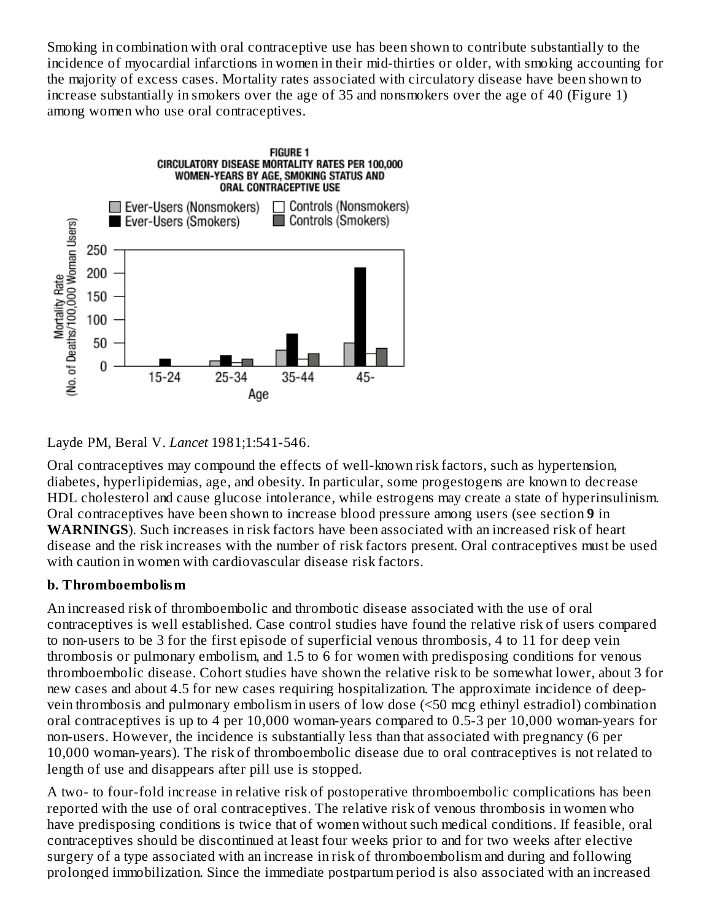Smoking in combination with oral contraceptive use has been shown to contribute substantially to the incidence of myocardial infarctions in women in their mid-thirties or older, with smoking accounting for the majority of excess cases. Mortality rates associated with circulatory disease have been shown to increase substantially in smokers over the age of 35 and nonsmokers over the age of 40 (Figure 1) among women who use oral contraceptives.



Layde PM, Beral V. *Lancet* 1981;1:541-546.

Oral contraceptives may compound the effects of well-known risk factors, such as hypertension, diabetes, hyperlipidemias, age, and obesity. In particular, some progestogens are known to decrease HDL cholesterol and cause glucose intolerance, while estrogens may create a state of hyperinsulinism. Oral contraceptives have been shown to increase blood pressure among users (see section **9** in **WARNINGS**). Such increases in risk factors have been associated with an increased risk of heart disease and the risk increases with the number of risk factors present. Oral contraceptives must be used with caution in women with cardiovascular disease risk factors.

#### **b. Thromboembolism**

An increased risk of thromboembolic and thrombotic disease associated with the use of oral contraceptives is well established. Case control studies have found the relative risk of users compared to non-users to be 3 for the first episode of superficial venous thrombosis, 4 to 11 for deep vein thrombosis or pulmonary embolism, and 1.5 to 6 for women with predisposing conditions for venous thromboembolic disease. Cohort studies have shown the relative risk to be somewhat lower, about 3 for new cases and about 4.5 for new cases requiring hospitalization. The approximate incidence of deepvein thrombosis and pulmonary embolism in users of low dose (<50 mcg ethinyl estradiol) combination oral contraceptives is up to 4 per 10,000 woman-years compared to 0.5-3 per 10,000 woman-years for non-users. However, the incidence is substantially less than that associated with pregnancy (6 per 10,000 woman-years). The risk of thromboembolic disease due to oral contraceptives is not related to length of use and disappears after pill use is stopped.

A two- to four-fold increase in relative risk of postoperative thromboembolic complications has been reported with the use of oral contraceptives. The relative risk of venous thrombosis in women who have predisposing conditions is twice that of women without such medical conditions. If feasible, oral contraceptives should be discontinued at least four weeks prior to and for two weeks after elective surgery of a type associated with an increase in risk of thromboembolism and during and following prolonged immobilization. Since the immediate postpartum period is also associated with an increased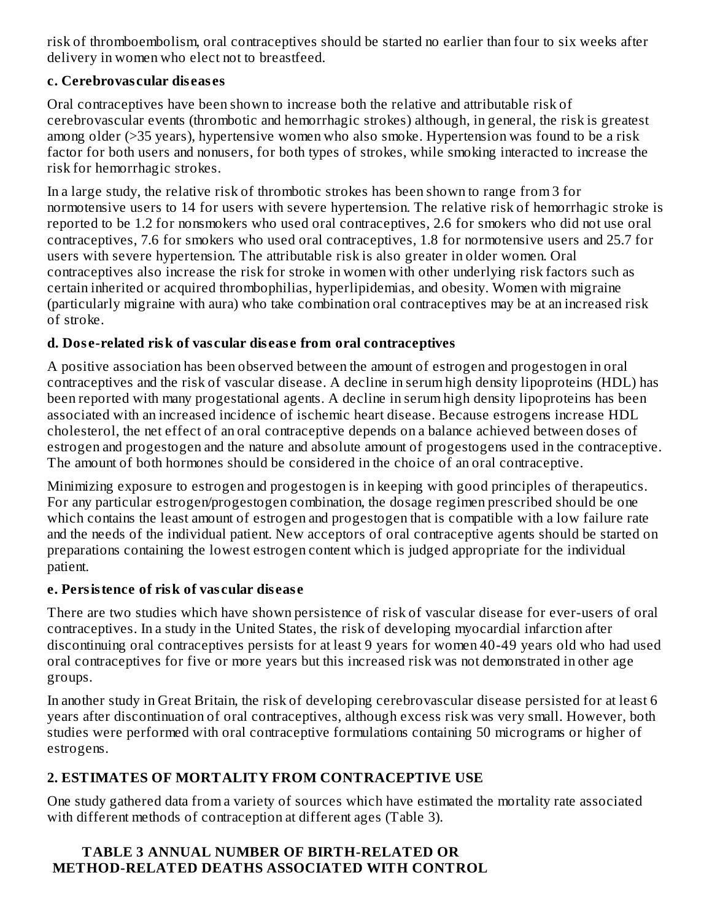risk of thromboembolism, oral contraceptives should be started no earlier than four to six weeks after delivery in women who elect not to breastfeed.

#### **c. Cerebrovas cular dis eas es**

Oral contraceptives have been shown to increase both the relative and attributable risk of cerebrovascular events (thrombotic and hemorrhagic strokes) although, in general, the risk is greatest among older (>35 years), hypertensive women who also smoke. Hypertension was found to be a risk factor for both users and nonusers, for both types of strokes, while smoking interacted to increase the risk for hemorrhagic strokes.

In a large study, the relative risk of thrombotic strokes has been shown to range from 3 for normotensive users to 14 for users with severe hypertension. The relative risk of hemorrhagic stroke is reported to be 1.2 for nonsmokers who used oral contraceptives, 2.6 for smokers who did not use oral contraceptives, 7.6 for smokers who used oral contraceptives, 1.8 for normotensive users and 25.7 for users with severe hypertension. The attributable risk is also greater in older women. Oral contraceptives also increase the risk for stroke in women with other underlying risk factors such as certain inherited or acquired thrombophilias, hyperlipidemias, and obesity. Women with migraine (particularly migraine with aura) who take combination oral contraceptives may be at an increased risk of stroke.

## **d. Dos e-related risk of vas cular dis eas e from oral contraceptives**

A positive association has been observed between the amount of estrogen and progestogen in oral contraceptives and the risk of vascular disease. A decline in serum high density lipoproteins (HDL) has been reported with many progestational agents. A decline in serum high density lipoproteins has been associated with an increased incidence of ischemic heart disease. Because estrogens increase HDL cholesterol, the net effect of an oral contraceptive depends on a balance achieved between doses of estrogen and progestogen and the nature and absolute amount of progestogens used in the contraceptive. The amount of both hormones should be considered in the choice of an oral contraceptive.

Minimizing exposure to estrogen and progestogen is in keeping with good principles of therapeutics. For any particular estrogen/progestogen combination, the dosage regimen prescribed should be one which contains the least amount of estrogen and progestogen that is compatible with a low failure rate and the needs of the individual patient. New acceptors of oral contraceptive agents should be started on preparations containing the lowest estrogen content which is judged appropriate for the individual patient.

#### **e. Persistence of risk of vas cular dis eas e**

There are two studies which have shown persistence of risk of vascular disease for ever-users of oral contraceptives. In a study in the United States, the risk of developing myocardial infarction after discontinuing oral contraceptives persists for at least 9 years for women 40-49 years old who had used oral contraceptives for five or more years but this increased risk was not demonstrated in other age groups.

In another study in Great Britain, the risk of developing cerebrovascular disease persisted for at least 6 years after discontinuation of oral contraceptives, although excess risk was very small. However, both studies were performed with oral contraceptive formulations containing 50 micrograms or higher of estrogens.

## **2. ESTIMATES OF MORTALITY FROM CONTRACEPTIVE USE**

One study gathered data from a variety of sources which have estimated the mortality rate associated with different methods of contraception at different ages (Table 3).

## **TABLE 3 ANNUAL NUMBER OF BIRTH-RELATED OR METHOD-RELATED DEATHS ASSOCIATED WITH CONTROL**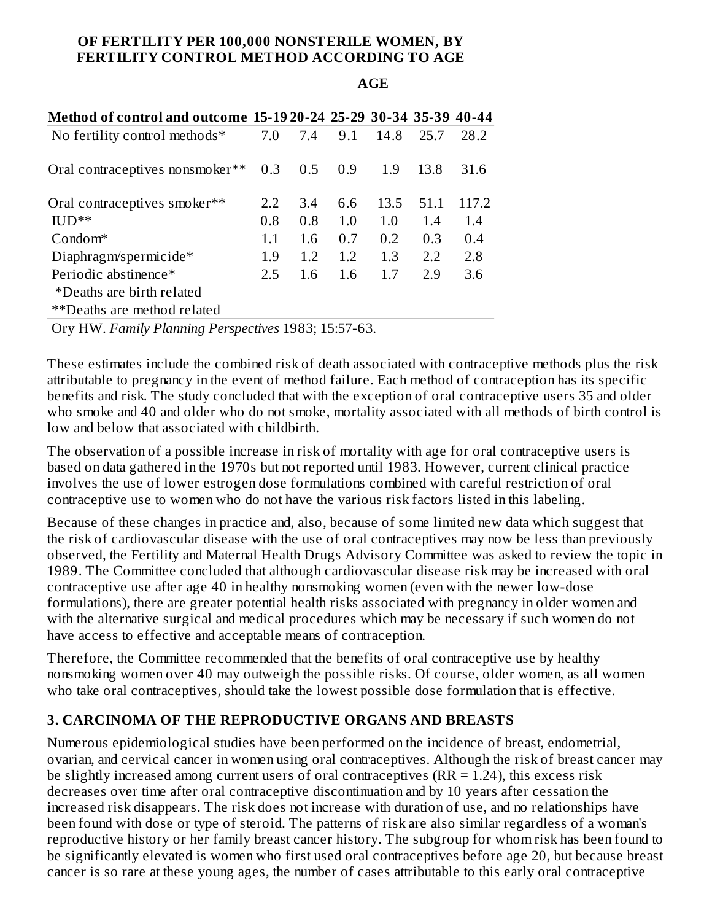#### **OF FERTILITY PER 100,000 NONSTERILE WOMEN, BY FERTILITY CONTROL METHOD ACCORDING TO AGE**

#### **AGE**

| Method of control and outcome 15-19 20-24 25-29 30-34 35-39 40-44 |     |     |     |      |      |         |  |
|-------------------------------------------------------------------|-----|-----|-----|------|------|---------|--|
| No fertility control methods $*$                                  | 7.0 | 7.4 | 9.1 | 14.8 | 25.7 | 28.2    |  |
| Oral contraceptives nonsmoker**                                   | 0.3 | 0.5 | 0.9 | 1.9  | 13.8 | 31.6    |  |
| Oral contraceptives smoker**                                      | 2.2 | 3.4 | 6.6 | 13.5 | 51.1 | 117.2   |  |
| $IUD**$                                                           | 0.8 | 0.8 | 1.0 | 1.0  | 1.4  | $1.4\,$ |  |
| $Condom^*$                                                        | 1.1 | 1.6 | 0.7 | 0.2  | 0.3  | 0.4     |  |
| Diaphragm/spermicide*                                             | 1.9 | 1.2 | 1.2 | 1.3  | 2.2  | 2.8     |  |
| Periodic abstinence*                                              | 2.5 | 1.6 | 1.6 | 1.7  | 2.9  | 3.6     |  |
| *Deaths are birth related                                         |     |     |     |      |      |         |  |
| **Deaths are method related                                       |     |     |     |      |      |         |  |
| Ory HW. Family Planning Perspectives 1983; 15:57-63.              |     |     |     |      |      |         |  |
|                                                                   |     |     |     |      |      |         |  |

**Method of control and outcome 15-19 20-24 25-29 30-34 35-39 40-44**

These estimates include the combined risk of death associated with contraceptive methods plus the risk attributable to pregnancy in the event of method failure. Each method of contraception has its specific benefits and risk. The study concluded that with the exception of oral contraceptive users 35 and older who smoke and 40 and older who do not smoke, mortality associated with all methods of birth control is low and below that associated with childbirth.

The observation of a possible increase in risk of mortality with age for oral contraceptive users is based on data gathered in the 1970s but not reported until 1983. However, current clinical practice involves the use of lower estrogen dose formulations combined with careful restriction of oral contraceptive use to women who do not have the various risk factors listed in this labeling.

Because of these changes in practice and, also, because of some limited new data which suggest that the risk of cardiovascular disease with the use of oral contraceptives may now be less than previously observed, the Fertility and Maternal Health Drugs Advisory Committee was asked to review the topic in 1989. The Committee concluded that although cardiovascular disease risk may be increased with oral contraceptive use after age 40 in healthy nonsmoking women (even with the newer low-dose formulations), there are greater potential health risks associated with pregnancy in older women and with the alternative surgical and medical procedures which may be necessary if such women do not have access to effective and acceptable means of contraception.

Therefore, the Committee recommended that the benefits of oral contraceptive use by healthy nonsmoking women over 40 may outweigh the possible risks. Of course, older women, as all women who take oral contraceptives, should take the lowest possible dose formulation that is effective.

#### **3. CARCINOMA OF THE REPRODUCTIVE ORGANS AND BREASTS**

Numerous epidemiological studies have been performed on the incidence of breast, endometrial, ovarian, and cervical cancer in women using oral contraceptives. Although the risk of breast cancer may be slightly increased among current users of oral contraceptives  $(RR = 1.24)$ , this excess risk decreases over time after oral contraceptive discontinuation and by 10 years after cessation the increased risk disappears. The risk does not increase with duration of use, and no relationships have been found with dose or type of steroid. The patterns of risk are also similar regardless of a woman's reproductive history or her family breast cancer history. The subgroup for whom risk has been found to be significantly elevated is women who first used oral contraceptives before age 20, but because breast cancer is so rare at these young ages, the number of cases attributable to this early oral contraceptive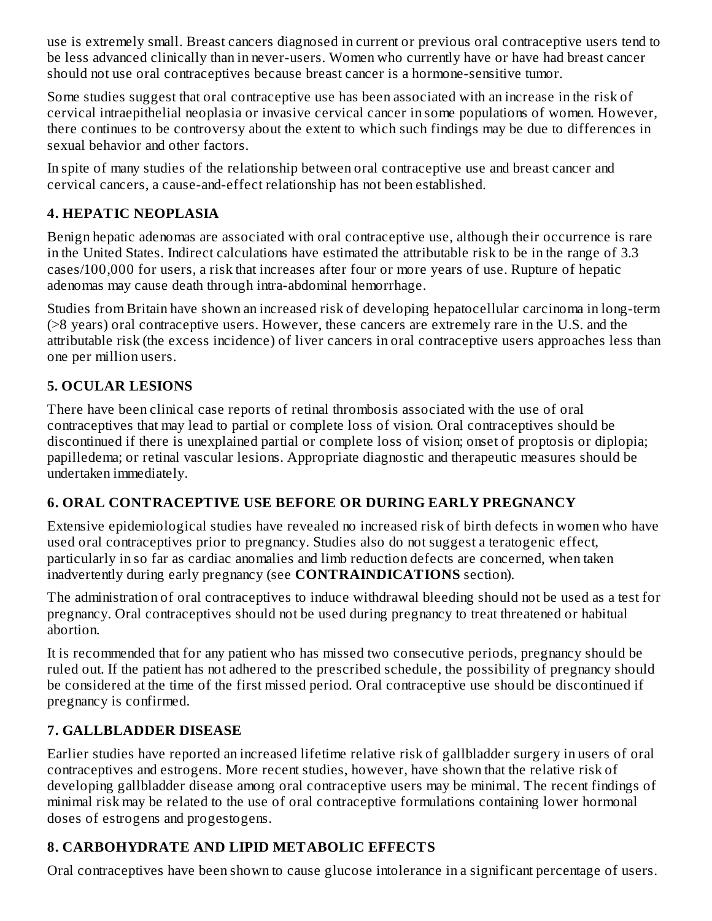use is extremely small. Breast cancers diagnosed in current or previous oral contraceptive users tend to be less advanced clinically than in never-users. Women who currently have or have had breast cancer should not use oral contraceptives because breast cancer is a hormone-sensitive tumor.

Some studies suggest that oral contraceptive use has been associated with an increase in the risk of cervical intraepithelial neoplasia or invasive cervical cancer in some populations of women. However, there continues to be controversy about the extent to which such findings may be due to differences in sexual behavior and other factors.

In spite of many studies of the relationship between oral contraceptive use and breast cancer and cervical cancers, a cause-and-effect relationship has not been established.

## **4. HEPATIC NEOPLASIA**

Benign hepatic adenomas are associated with oral contraceptive use, although their occurrence is rare in the United States. Indirect calculations have estimated the attributable risk to be in the range of 3.3 cases/100,000 for users, a risk that increases after four or more years of use. Rupture of hepatic adenomas may cause death through intra-abdominal hemorrhage.

Studies from Britain have shown an increased risk of developing hepatocellular carcinoma in long-term (>8 years) oral contraceptive users. However, these cancers are extremely rare in the U.S. and the attributable risk (the excess incidence) of liver cancers in oral contraceptive users approaches less than one per million users.

## **5. OCULAR LESIONS**

There have been clinical case reports of retinal thrombosis associated with the use of oral contraceptives that may lead to partial or complete loss of vision. Oral contraceptives should be discontinued if there is unexplained partial or complete loss of vision; onset of proptosis or diplopia; papilledema; or retinal vascular lesions. Appropriate diagnostic and therapeutic measures should be undertaken immediately.

#### **6. ORAL CONTRACEPTIVE USE BEFORE OR DURING EARLY PREGNANCY**

Extensive epidemiological studies have revealed no increased risk of birth defects in women who have used oral contraceptives prior to pregnancy. Studies also do not suggest a teratogenic effect, particularly in so far as cardiac anomalies and limb reduction defects are concerned, when taken inadvertently during early pregnancy (see **CONTRAINDICATIONS** section).

The administration of oral contraceptives to induce withdrawal bleeding should not be used as a test for pregnancy. Oral contraceptives should not be used during pregnancy to treat threatened or habitual abortion.

It is recommended that for any patient who has missed two consecutive periods, pregnancy should be ruled out. If the patient has not adhered to the prescribed schedule, the possibility of pregnancy should be considered at the time of the first missed period. Oral contraceptive use should be discontinued if pregnancy is confirmed.

#### **7. GALLBLADDER DISEASE**

Earlier studies have reported an increased lifetime relative risk of gallbladder surgery in users of oral contraceptives and estrogens. More recent studies, however, have shown that the relative risk of developing gallbladder disease among oral contraceptive users may be minimal. The recent findings of minimal risk may be related to the use of oral contraceptive formulations containing lower hormonal doses of estrogens and progestogens.

# **8. CARBOHYDRATE AND LIPID METABOLIC EFFECTS**

Oral contraceptives have been shown to cause glucose intolerance in a significant percentage of users.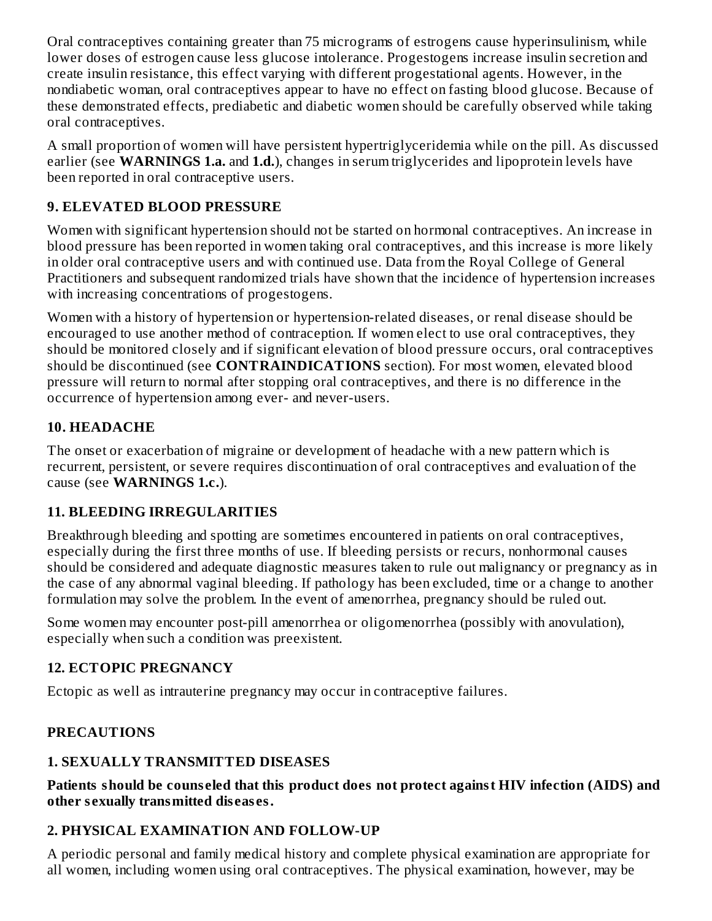Oral contraceptives containing greater than 75 micrograms of estrogens cause hyperinsulinism, while lower doses of estrogen cause less glucose intolerance. Progestogens increase insulin secretion and create insulin resistance, this effect varying with different progestational agents. However, in the nondiabetic woman, oral contraceptives appear to have no effect on fasting blood glucose. Because of these demonstrated effects, prediabetic and diabetic women should be carefully observed while taking oral contraceptives.

A small proportion of women will have persistent hypertriglyceridemia while on the pill. As discussed earlier (see **WARNINGS 1.a.** and **1.d.**), changes in serum triglycerides and lipoprotein levels have been reported in oral contraceptive users.

## **9. ELEVATED BLOOD PRESSURE**

Women with significant hypertension should not be started on hormonal contraceptives. An increase in blood pressure has been reported in women taking oral contraceptives, and this increase is more likely in older oral contraceptive users and with continued use. Data from the Royal College of General Practitioners and subsequent randomized trials have shown that the incidence of hypertension increases with increasing concentrations of progestogens.

Women with a history of hypertension or hypertension-related diseases, or renal disease should be encouraged to use another method of contraception. If women elect to use oral contraceptives, they should be monitored closely and if significant elevation of blood pressure occurs, oral contraceptives should be discontinued (see **CONTRAINDICATIONS** section). For most women, elevated blood pressure will return to normal after stopping oral contraceptives, and there is no difference in the occurrence of hypertension among ever- and never-users.

## **10. HEADACHE**

The onset or exacerbation of migraine or development of headache with a new pattern which is recurrent, persistent, or severe requires discontinuation of oral contraceptives and evaluation of the cause (see **WARNINGS 1.c.**).

## **11. BLEEDING IRREGULARITIES**

Breakthrough bleeding and spotting are sometimes encountered in patients on oral contraceptives, especially during the first three months of use. If bleeding persists or recurs, nonhormonal causes should be considered and adequate diagnostic measures taken to rule out malignancy or pregnancy as in the case of any abnormal vaginal bleeding. If pathology has been excluded, time or a change to another formulation may solve the problem. In the event of amenorrhea, pregnancy should be ruled out.

Some women may encounter post-pill amenorrhea or oligomenorrhea (possibly with anovulation), especially when such a condition was preexistent.

#### **12. ECTOPIC PREGNANCY**

Ectopic as well as intrauterine pregnancy may occur in contraceptive failures.

## **PRECAUTIONS**

#### **1. SEXUALLY TRANSMITTED DISEASES**

#### **Patients should be couns eled that this product does not protect against HIV infection (AIDS) and other s exually transmitted dis eas es.**

#### **2. PHYSICAL EXAMINATION AND FOLLOW-UP**

A periodic personal and family medical history and complete physical examination are appropriate for all women, including women using oral contraceptives. The physical examination, however, may be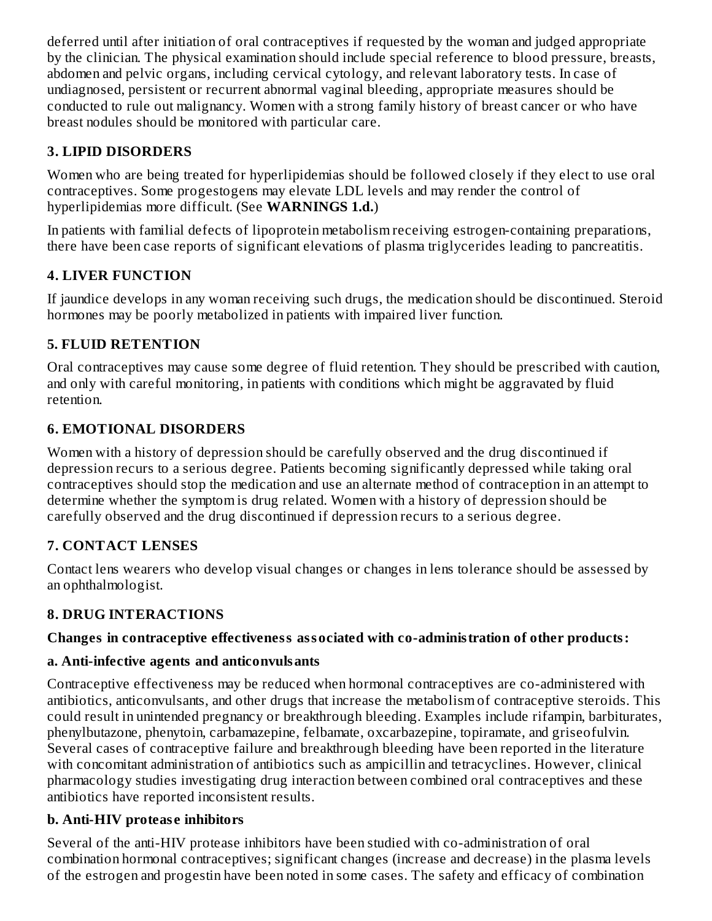deferred until after initiation of oral contraceptives if requested by the woman and judged appropriate by the clinician. The physical examination should include special reference to blood pressure, breasts, abdomen and pelvic organs, including cervical cytology, and relevant laboratory tests. In case of undiagnosed, persistent or recurrent abnormal vaginal bleeding, appropriate measures should be conducted to rule out malignancy. Women with a strong family history of breast cancer or who have breast nodules should be monitored with particular care.

## **3. LIPID DISORDERS**

Women who are being treated for hyperlipidemias should be followed closely if they elect to use oral contraceptives. Some progestogens may elevate LDL levels and may render the control of hyperlipidemias more difficult. (See **WARNINGS 1.d.**)

In patients with familial defects of lipoprotein metabolism receiving estrogen-containing preparations, there have been case reports of significant elevations of plasma triglycerides leading to pancreatitis.

## **4. LIVER FUNCTION**

If jaundice develops in any woman receiving such drugs, the medication should be discontinued. Steroid hormones may be poorly metabolized in patients with impaired liver function.

## **5. FLUID RETENTION**

Oral contraceptives may cause some degree of fluid retention. They should be prescribed with caution, and only with careful monitoring, in patients with conditions which might be aggravated by fluid retention.

## **6. EMOTIONAL DISORDERS**

Women with a history of depression should be carefully observed and the drug discontinued if depression recurs to a serious degree. Patients becoming significantly depressed while taking oral contraceptives should stop the medication and use an alternate method of contraception in an attempt to determine whether the symptom is drug related. Women with a history of depression should be carefully observed and the drug discontinued if depression recurs to a serious degree.

## **7. CONTACT LENSES**

Contact lens wearers who develop visual changes or changes in lens tolerance should be assessed by an ophthalmologist.

## **8. DRUG INTERACTIONS**

#### **Changes in contraceptive effectiveness associated with co-administration of other products:**

#### **a. Anti-infective agents and anticonvulsants**

Contraceptive effectiveness may be reduced when hormonal contraceptives are co-administered with antibiotics, anticonvulsants, and other drugs that increase the metabolism of contraceptive steroids. This could result in unintended pregnancy or breakthrough bleeding. Examples include rifampin, barbiturates, phenylbutazone, phenytoin, carbamazepine, felbamate, oxcarbazepine, topiramate, and griseofulvin. Several cases of contraceptive failure and breakthrough bleeding have been reported in the literature with concomitant administration of antibiotics such as ampicillin and tetracyclines. However, clinical pharmacology studies investigating drug interaction between combined oral contraceptives and these antibiotics have reported inconsistent results.

#### **b. Anti-HIV proteas e inhibitors**

Several of the anti-HIV protease inhibitors have been studied with co-administration of oral combination hormonal contraceptives; significant changes (increase and decrease) in the plasma levels of the estrogen and progestin have been noted in some cases. The safety and efficacy of combination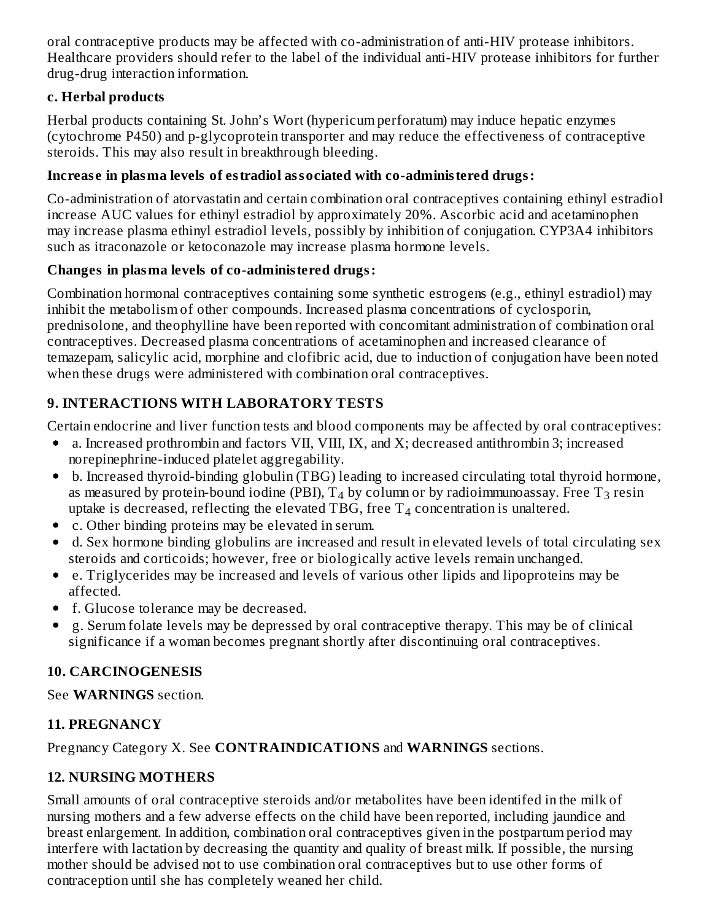oral contraceptive products may be affected with co-administration of anti-HIV protease inhibitors. Healthcare providers should refer to the label of the individual anti-HIV protease inhibitors for further drug-drug interaction information.

#### **c. Herbal products**

Herbal products containing St. John's Wort (hypericum perforatum) may induce hepatic enzymes (cytochrome P450) and p-glycoprotein transporter and may reduce the effectiveness of contraceptive steroids. This may also result in breakthrough bleeding.

## **Increas e in plasma levels of estradiol associated with co-administered drugs:**

Co-administration of atorvastatin and certain combination oral contraceptives containing ethinyl estradiol increase AUC values for ethinyl estradiol by approximately 20%. Ascorbic acid and acetaminophen may increase plasma ethinyl estradiol levels, possibly by inhibition of conjugation. CYP3A4 inhibitors such as itraconazole or ketoconazole may increase plasma hormone levels.

#### **Changes in plasma levels of co-administered drugs:**

Combination hormonal contraceptives containing some synthetic estrogens (e.g., ethinyl estradiol) may inhibit the metabolism of other compounds. Increased plasma concentrations of cyclosporin, prednisolone, and theophylline have been reported with concomitant administration of combination oral contraceptives. Decreased plasma concentrations of acetaminophen and increased clearance of temazepam, salicylic acid, morphine and clofibric acid, due to induction of conjugation have been noted when these drugs were administered with combination oral contraceptives.

## **9. INTERACTIONS WITH LABORATORY TESTS**

Certain endocrine and liver function tests and blood components may be affected by oral contraceptives:

- a. Increased prothrombin and factors VII, VIII, IX, and X; decreased antithrombin 3; increased norepinephrine-induced platelet aggregability.
- b. Increased thyroid-binding globulin (TBG) leading to increased circulating total thyroid hormone, as measured by protein-bound iodine (PBI),  $\rm T_4$  by column or by radioimmunoassay. Free  $\rm T_3$  resin uptake is decreased, reflecting the elevated TBG, free  $\mathrm{T}_4$  concentration is unaltered.
- c. Other binding proteins may be elevated in serum.
- d. Sex hormone binding globulins are increased and result in elevated levels of total circulating sex steroids and corticoids; however, free or biologically active levels remain unchanged.
- e. Triglycerides may be increased and levels of various other lipids and lipoproteins may be affected.
- f. Glucose tolerance may be decreased.
- g. Serum folate levels may be depressed by oral contraceptive therapy. This may be of clinical  $\bullet$ significance if a woman becomes pregnant shortly after discontinuing oral contraceptives.

## **10. CARCINOGENESIS**

#### See **WARNINGS** section.

#### **11. PREGNANCY**

Pregnancy Category X. See **CONTRAINDICATIONS** and **WARNINGS** sections.

#### **12. NURSING MOTHERS**

Small amounts of oral contraceptive steroids and/or metabolites have been identifed in the milk of nursing mothers and a few adverse effects on the child have been reported, including jaundice and breast enlargement. In addition, combination oral contraceptives given in the postpartum period may interfere with lactation by decreasing the quantity and quality of breast milk. If possible, the nursing mother should be advised not to use combination oral contraceptives but to use other forms of contraception until she has completely weaned her child.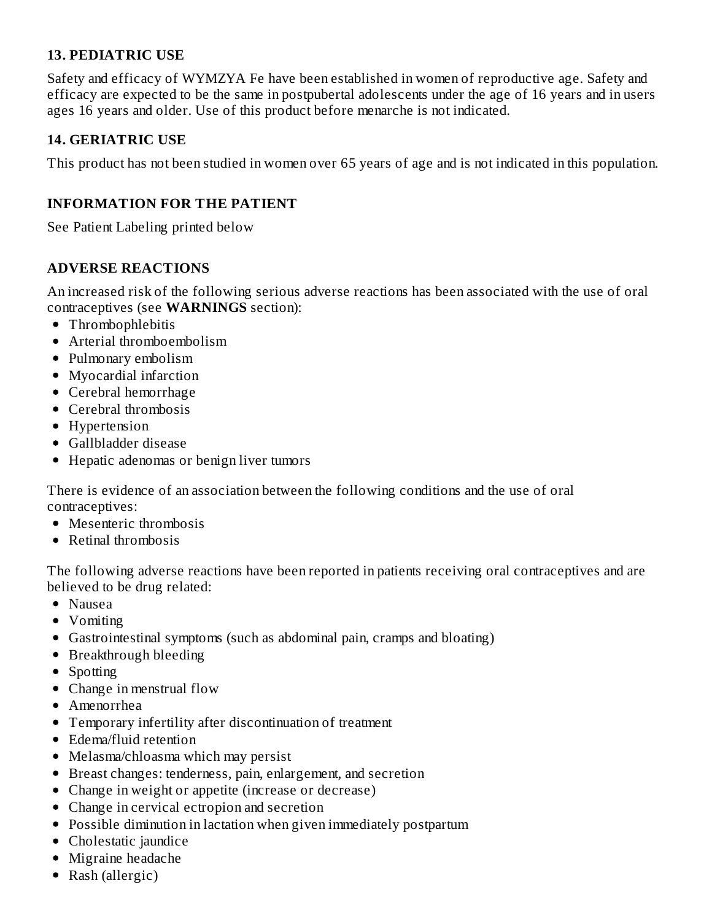#### **13. PEDIATRIC USE**

Safety and efficacy of WYMZYA Fe have been established in women of reproductive age. Safety and efficacy are expected to be the same in postpubertal adolescents under the age of 16 years and in users ages 16 years and older. Use of this product before menarche is not indicated.

#### **14. GERIATRIC USE**

This product has not been studied in women over 65 years of age and is not indicated in this population.

#### **INFORMATION FOR THE PATIENT**

See Patient Labeling printed below

#### **ADVERSE REACTIONS**

An increased risk of the following serious adverse reactions has been associated with the use of oral contraceptives (see **WARNINGS** section):

- Thrombophlebitis
- Arterial thromboembolism
- Pulmonary embolism
- Myocardial infarction
- Cerebral hemorrhage
- Cerebral thrombosis
- Hypertension
- Gallbladder disease
- Hepatic adenomas or benign liver tumors

There is evidence of an association between the following conditions and the use of oral contraceptives:

- Mesenteric thrombosis
- Retinal thrombosis

The following adverse reactions have been reported in patients receiving oral contraceptives and are believed to be drug related:

- Nausea
- Vomiting
- Gastrointestinal symptoms (such as abdominal pain, cramps and bloating)
- Breakthrough bleeding
- Spotting
- Change in menstrual flow
- Amenorrhea
- Temporary infertility after discontinuation of treatment
- Edema/fluid retention
- Melasma/chloasma which may persist
- Breast changes: tenderness, pain, enlargement, and secretion
- Change in weight or appetite (increase or decrease)
- Change in cervical ectropion and secretion
- Possible diminution in lactation when given immediately postpartum
- Cholestatic jaundice
- Migraine headache
- Rash (allergic)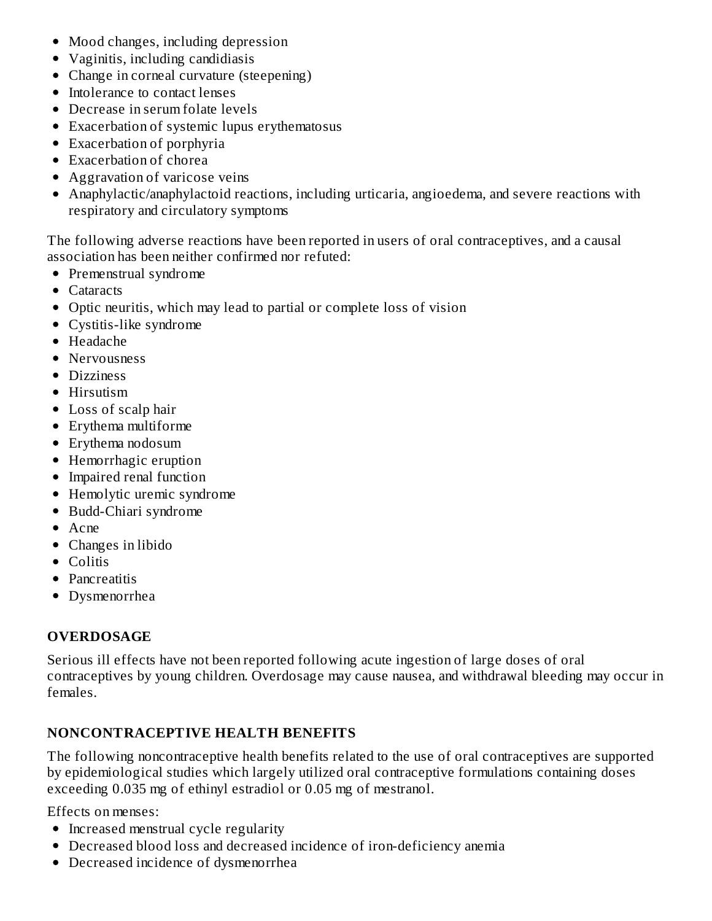- Mood changes, including depression
- Vaginitis, including candidiasis
- Change in corneal curvature (steepening)
- Intolerance to contact lenses
- Decrease in serum folate levels
- Exacerbation of systemic lupus erythematosus
- Exacerbation of porphyria
- Exacerbation of chorea
- Aggravation of varicose veins
- Anaphylactic/anaphylactoid reactions, including urticaria, angioedema, and severe reactions with respiratory and circulatory symptoms

The following adverse reactions have been reported in users of oral contraceptives, and a causal association has been neither confirmed nor refuted:

- Premenstrual syndrome
- Cataracts
- Optic neuritis, which may lead to partial or complete loss of vision
- Cystitis-like syndrome
- Headache
- Nervousness
- Dizziness
- Hirsutism
- Loss of scalp hair
- Erythema multiforme
- Erythema nodosum
- Hemorrhagic eruption
- Impaired renal function
- Hemolytic uremic syndrome
- Budd-Chiari syndrome
- $A$ cne
- Changes in libido
- Colitis
- Pancreatitis
- Dysmenorrhea

#### **OVERDOSAGE**

Serious ill effects have not been reported following acute ingestion of large doses of oral contraceptives by young children. Overdosage may cause nausea, and withdrawal bleeding may occur in females.

#### **NONCONTRACEPTIVE HEALTH BENEFITS**

The following noncontraceptive health benefits related to the use of oral contraceptives are supported by epidemiological studies which largely utilized oral contraceptive formulations containing doses exceeding 0.035 mg of ethinyl estradiol or 0.05 mg of mestranol.

Effects on menses:

- Increased menstrual cycle regularity
- Decreased blood loss and decreased incidence of iron-deficiency anemia
- Decreased incidence of dysmenorrhea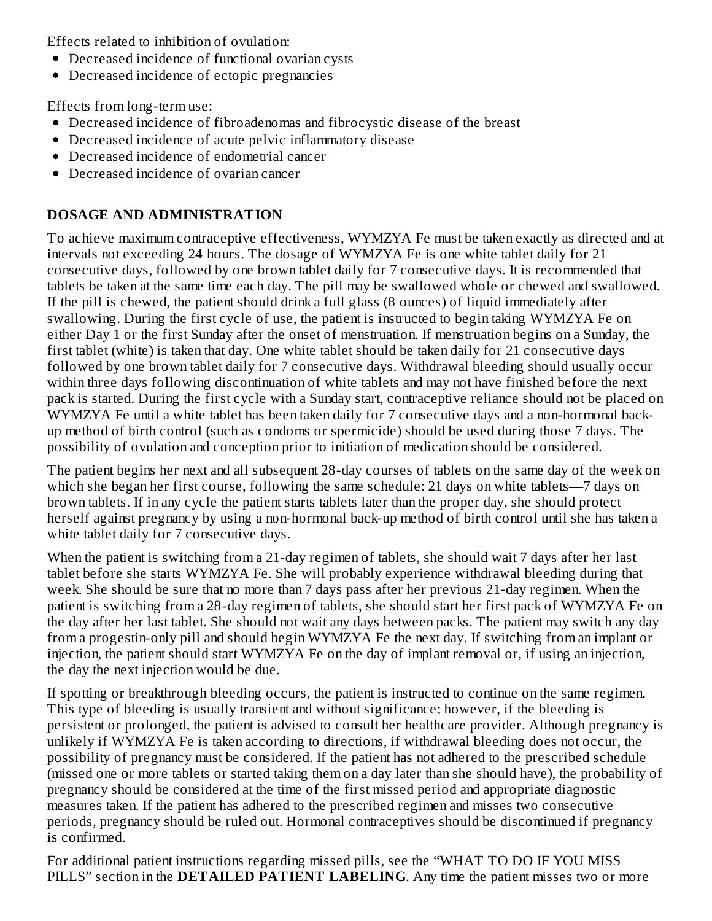Effects related to inhibition of ovulation:

- Decreased incidence of functional ovarian cysts
- Decreased incidence of ectopic pregnancies

Effects from long-term use:

- Decreased incidence of fibroadenomas and fibrocystic disease of the breast
- Decreased incidence of acute pelvic inflammatory disease
- Decreased incidence of endometrial cancer
- Decreased incidence of ovarian cancer

#### **DOSAGE AND ADMINISTRATION**

To achieve maximum contraceptive effectiveness, WYMZYA Fe must be taken exactly as directed and at intervals not exceeding 24 hours. The dosage of WYMZYA Fe is one white tablet daily for 21 consecutive days, followed by one brown tablet daily for 7 consecutive days. It is recommended that tablets be taken at the same time each day. The pill may be swallowed whole or chewed and swallowed. If the pill is chewed, the patient should drink a full glass (8 ounces) of liquid immediately after swallowing. During the first cycle of use, the patient is instructed to begin taking WYMZYA Fe on either Day 1 or the first Sunday after the onset of menstruation. If menstruation begins on a Sunday, the first tablet (white) is taken that day. One white tablet should be taken daily for 21 consecutive days followed by one brown tablet daily for 7 consecutive days. Withdrawal bleeding should usually occur within three days following discontinuation of white tablets and may not have finished before the next pack is started. During the first cycle with a Sunday start, contraceptive reliance should not be placed on WYMZYA Fe until a white tablet has been taken daily for 7 consecutive days and a non-hormonal backup method of birth control (such as condoms or spermicide) should be used during those 7 days. The possibility of ovulation and conception prior to initiation of medication should be considered.

The patient begins her next and all subsequent 28-day courses of tablets on the same day of the week on which she began her first course, following the same schedule: 21 days on white tablets—7 days on brown tablets. If in any cycle the patient starts tablets later than the proper day, she should protect herself against pregnancy by using a non-hormonal back-up method of birth control until she has taken a white tablet daily for 7 consecutive days.

When the patient is switching from a 21-day regimen of tablets, she should wait 7 days after her last tablet before she starts WYMZYA Fe. She will probably experience withdrawal bleeding during that week. She should be sure that no more than 7 days pass after her previous 21-day regimen. When the patient is switching from a 28-day regimen of tablets, she should start her first pack of WYMZYA Fe on the day after her last tablet. She should not wait any days between packs. The patient may switch any day from a progestin-only pill and should begin WYMZYA Fe the next day. If switching from an implant or injection, the patient should start WYMZYA Fe on the day of implant removal or, if using an injection, the day the next injection would be due.

If spotting or breakthrough bleeding occurs, the patient is instructed to continue on the same regimen. This type of bleeding is usually transient and without significance; however, if the bleeding is persistent or prolonged, the patient is advised to consult her healthcare provider. Although pregnancy is unlikely if WYMZYA Fe is taken according to directions, if withdrawal bleeding does not occur, the possibility of pregnancy must be considered. If the patient has not adhered to the prescribed schedule (missed one or more tablets or started taking them on a day later than she should have), the probability of pregnancy should be considered at the time of the first missed period and appropriate diagnostic measures taken. If the patient has adhered to the prescribed regimen and misses two consecutive periods, pregnancy should be ruled out. Hormonal contraceptives should be discontinued if pregnancy is confirmed.

For additional patient instructions regarding missed pills, see the "WHAT TO DO IF YOU MISS PILLS" section in the **DETAILED PATIENT LABELING**. Any time the patient misses two or more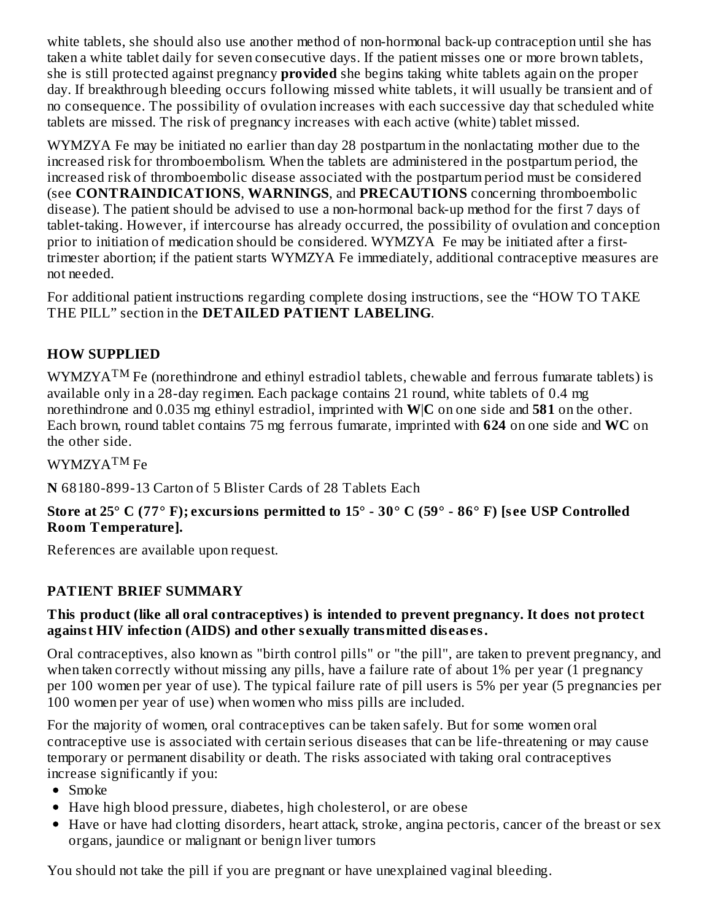white tablets, she should also use another method of non-hormonal back-up contraception until she has taken a white tablet daily for seven consecutive days. If the patient misses one or more brown tablets, she is still protected against pregnancy **provided** she begins taking white tablets again on the proper day. If breakthrough bleeding occurs following missed white tablets, it will usually be transient and of no consequence. The possibility of ovulation increases with each successive day that scheduled white tablets are missed. The risk of pregnancy increases with each active (white) tablet missed.

WYMZYA Fe may be initiated no earlier than day 28 postpartum in the nonlactating mother due to the increased risk for thromboembolism. When the tablets are administered in the postpartum period, the increased risk of thromboembolic disease associated with the postpartum period must be considered (see **CONTRAINDICATIONS**, **WARNINGS**, and **PRECAUTIONS** concerning thromboembolic disease). The patient should be advised to use a non-hormonal back-up method for the first 7 days of tablet-taking. However, if intercourse has already occurred, the possibility of ovulation and conception prior to initiation of medication should be considered. WYMZYA Fe may be initiated after a firsttrimester abortion; if the patient starts WYMZYA Fe immediately, additional contraceptive measures are not needed.

For additional patient instructions regarding complete dosing instructions, see the "HOW TO TAKE THE PILL" section in the **DETAILED PATIENT LABELING**.

## **HOW SUPPLIED**

WYMZYA<sup>TM</sup> Fe (norethindrone and ethinyl estradiol tablets, chewable and ferrous fumarate tablets) is available only in a 28-day regimen. Each package contains 21 round, white tablets of 0.4 mg norethindrone and 0.035 mg ethinyl estradiol, imprinted with **W**|**C** on one side and **581** on the other. Each brown, round tablet contains 75 mg ferrous fumarate, imprinted with **624** on one side and **WC** on the other side.

 $WYMZYA^{TM}$  Fe

**N** 68180-899-13 Carton of 5 Blister Cards of 28 Tablets Each

#### Store at 25 $^{\circ}$  C (77 $^{\circ}$  F); excursions permitted to 15 $^{\circ}$  - 30 $^{\circ}$  C (59 $^{\circ}$  - 86 $^{\circ}$  F) [see USP Controlled **Room Temperature].**

References are available upon request.

#### **PATIENT BRIEF SUMMARY**

#### **This product (like all oral contraceptives) is intended to prevent pregnancy. It does not protect against HIV infection (AIDS) and other s exually transmitted dis eas es.**

Oral contraceptives, also known as "birth control pills" or "the pill", are taken to prevent pregnancy, and when taken correctly without missing any pills, have a failure rate of about 1% per year (1 pregnancy per 100 women per year of use). The typical failure rate of pill users is 5% per year (5 pregnancies per 100 women per year of use) when women who miss pills are included.

For the majority of women, oral contraceptives can be taken safely. But for some women oral contraceptive use is associated with certain serious diseases that can be life-threatening or may cause temporary or permanent disability or death. The risks associated with taking oral contraceptives increase significantly if you:

- Smoke
- Have high blood pressure, diabetes, high cholesterol, or are obese
- Have or have had clotting disorders, heart attack, stroke, angina pectoris, cancer of the breast or sex organs, jaundice or malignant or benign liver tumors

You should not take the pill if you are pregnant or have unexplained vaginal bleeding.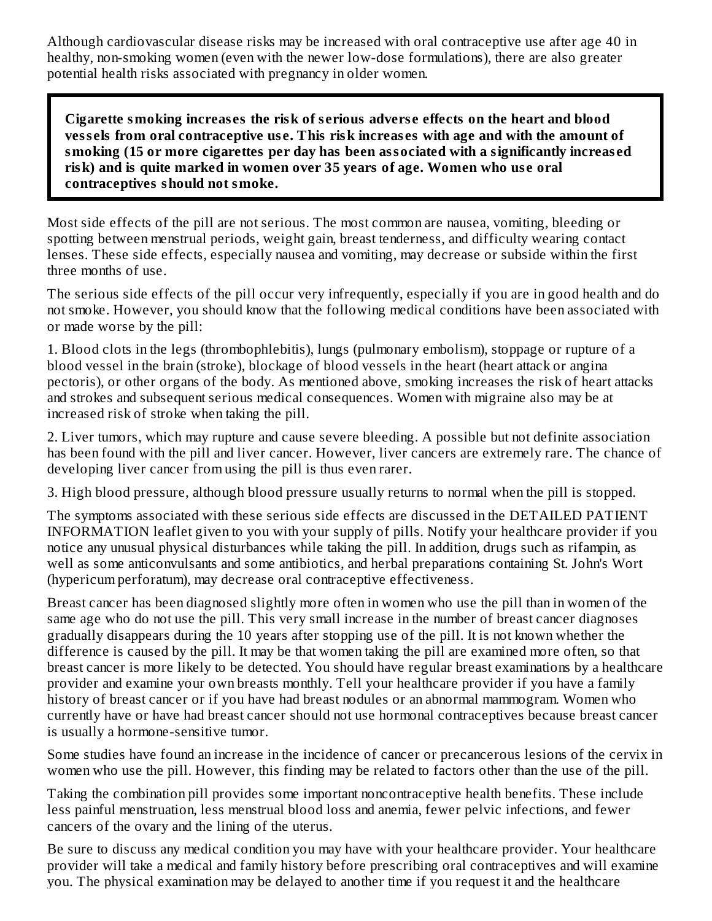Although cardiovascular disease risks may be increased with oral contraceptive use after age 40 in healthy, non-smoking women (even with the newer low-dose formulations), there are also greater potential health risks associated with pregnancy in older women.

**Cigarette smoking increas es the risk of s erious advers e effects on the heart and blood vess els from oral contraceptive us e. This risk increas es with age and with the amount of smoking (15 or more cigarettes per day has been associated with a significantly increas ed risk) and is quite marked in women over 35 years of age. Women who us e oral contraceptives should not smoke.**

Most side effects of the pill are not serious. The most common are nausea, vomiting, bleeding or spotting between menstrual periods, weight gain, breast tenderness, and difficulty wearing contact lenses. These side effects, especially nausea and vomiting, may decrease or subside within the first three months of use.

The serious side effects of the pill occur very infrequently, especially if you are in good health and do not smoke. However, you should know that the following medical conditions have been associated with or made worse by the pill:

1. Blood clots in the legs (thrombophlebitis), lungs (pulmonary embolism), stoppage or rupture of a blood vessel in the brain (stroke), blockage of blood vessels in the heart (heart attack or angina pectoris), or other organs of the body. As mentioned above, smoking increases the risk of heart attacks and strokes and subsequent serious medical consequences. Women with migraine also may be at increased risk of stroke when taking the pill.

2. Liver tumors, which may rupture and cause severe bleeding. A possible but not definite association has been found with the pill and liver cancer. However, liver cancers are extremely rare. The chance of developing liver cancer from using the pill is thus even rarer.

3. High blood pressure, although blood pressure usually returns to normal when the pill is stopped.

The symptoms associated with these serious side effects are discussed in the DETAILED PATIENT INFORMATION leaflet given to you with your supply of pills. Notify your healthcare provider if you notice any unusual physical disturbances while taking the pill. In addition, drugs such as rifampin, as well as some anticonvulsants and some antibiotics, and herbal preparations containing St. John's Wort (hypericum perforatum), may decrease oral contraceptive effectiveness.

Breast cancer has been diagnosed slightly more often in women who use the pill than in women of the same age who do not use the pill. This very small increase in the number of breast cancer diagnoses gradually disappears during the 10 years after stopping use of the pill. It is not known whether the difference is caused by the pill. It may be that women taking the pill are examined more often, so that breast cancer is more likely to be detected. You should have regular breast examinations by a healthcare provider and examine your own breasts monthly. Tell your healthcare provider if you have a family history of breast cancer or if you have had breast nodules or an abnormal mammogram. Women who currently have or have had breast cancer should not use hormonal contraceptives because breast cancer is usually a hormone-sensitive tumor.

Some studies have found an increase in the incidence of cancer or precancerous lesions of the cervix in women who use the pill. However, this finding may be related to factors other than the use of the pill.

Taking the combination pill provides some important noncontraceptive health benefits. These include less painful menstruation, less menstrual blood loss and anemia, fewer pelvic infections, and fewer cancers of the ovary and the lining of the uterus.

Be sure to discuss any medical condition you may have with your healthcare provider. Your healthcare provider will take a medical and family history before prescribing oral contraceptives and will examine you. The physical examination may be delayed to another time if you request it and the healthcare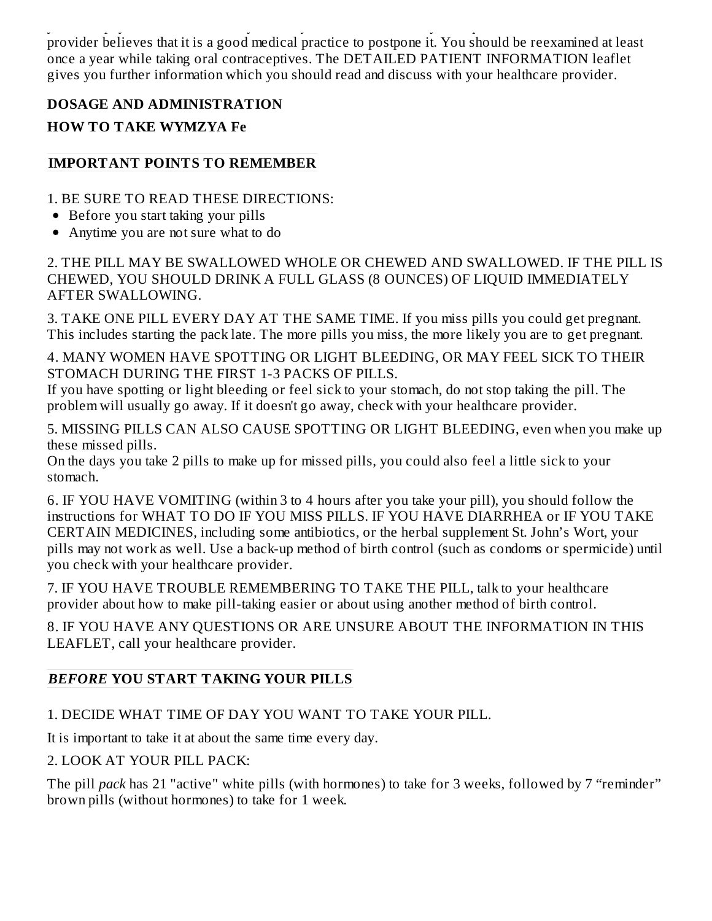you. The physical examination may be delayed to another time if you request it and the healthcare provider believes that it is a good medical practice to postpone it. You should be reexamined at least once a year while taking oral contraceptives. The DETAILED PATIENT INFORMATION leaflet gives you further information which you should read and discuss with your healthcare provider.

## **DOSAGE AND ADMINISTRATION**

## **HOW TO TAKE WYMZYA Fe**

#### **IMPORTANT POINTS TO REMEMBER**

1. BE SURE TO READ THESE DIRECTIONS:

- Before you start taking your pills
- Anytime you are not sure what to do

2. THE PILL MAY BE SWALLOWED WHOLE OR CHEWED AND SWALLOWED. IF THE PILL IS CHEWED, YOU SHOULD DRINK A FULL GLASS (8 OUNCES) OF LIQUID IMMEDIATELY AFTER SWALLOWING.

3. TAKE ONE PILL EVERY DAY AT THE SAME TIME. If you miss pills you could get pregnant. This includes starting the pack late. The more pills you miss, the more likely you are to get pregnant.

4. MANY WOMEN HAVE SPOTTING OR LIGHT BLEEDING, OR MAY FEEL SICK TO THEIR STOMACH DURING THE FIRST 1-3 PACKS OF PILLS.

If you have spotting or light bleeding or feel sick to your stomach, do not stop taking the pill. The problem will usually go away. If it doesn't go away, check with your healthcare provider.

5. MISSING PILLS CAN ALSO CAUSE SPOTTING OR LIGHT BLEEDING, even when you make up these missed pills.

On the days you take 2 pills to make up for missed pills, you could also feel a little sick to your stomach.

6. IF YOU HAVE VOMITING (within 3 to 4 hours after you take your pill), you should follow the instructions for WHAT TO DO IF YOU MISS PILLS. IF YOU HAVE DIARRHEA or IF YOU TAKE CERTAIN MEDICINES, including some antibiotics, or the herbal supplement St. John's Wort, your pills may not work as well. Use a back-up method of birth control (such as condoms or spermicide) until you check with your healthcare provider.

7. IF YOU HAVE TROUBLE REMEMBERING TO TAKE THE PILL, talk to your healthcare provider about how to make pill-taking easier or about using another method of birth control.

8. IF YOU HAVE ANY QUESTIONS OR ARE UNSURE ABOUT THE INFORMATION IN THIS LEAFLET, call your healthcare provider.

# *BEFORE* **YOU START TAKING YOUR PILLS**

## 1. DECIDE WHAT TIME OF DAY YOU WANT TO TAKE YOUR PILL.

It is important to take it at about the same time every day.

2. LOOK AT YOUR PILL PACK:

The pill *pack* has 21 "active" white pills (with hormones) to take for 3 weeks, followed by 7 "reminder" brown pills (without hormones) to take for 1 week.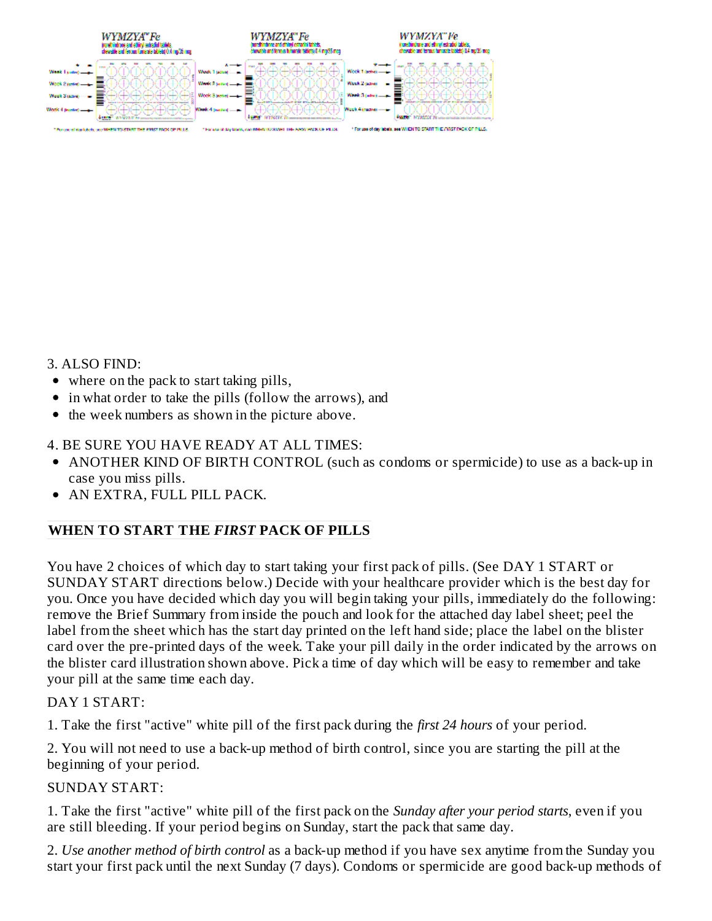#### 3. ALSO FIND:

- where on the pack to start taking pills,
- in what order to take the pills (follow the arrows), and
- the week numbers as shown in the picture above.

#### 4. BE SURE YOU HAVE READY AT ALL TIMES:

- ANOTHER KIND OF BIRTH CONTROL (such as condoms or spermicide) to use as a back-up in case you miss pills.
- AN EXTRA, FULL PILL PACK.

## **WHEN TO START THE** *FIRST* **PACK OF PILLS**

You have 2 choices of which day to start taking your first pack of pills. (See DAY 1 START or SUNDAY START directions below.) Decide with your healthcare provider which is the best day for you. Once you have decided which day you will begin taking your pills, immediately do the following: remove the Brief Summary from inside the pouch and look for the attached day label sheet; peel the label from the sheet which has the start day printed on the left hand side; place the label on the blister card over the pre-printed days of the week. Take your pill daily in the order indicated by the arrows on the blister card illustration shown above. Pick a time of day which will be easy to remember and take your pill at the same time each day.

#### DAY 1 START:

1. Take the first "active" white pill of the first pack during the *first 24 hours* of your period.

2. You will not need to use a back-up method of birth control, since you are starting the pill at the beginning of your period.

#### SUNDAY START:

1. Take the first "active" white pill of the first pack on the *Sunday after your period starts*, even if you are still bleeding. If your period begins on Sunday, start the pack that same day.

2. *Use another method of birth control* as a back-up method if you have sex anytime from the Sunday you start your first pack until the next Sunday (7 days). Condoms or spermicide are good back-up methods of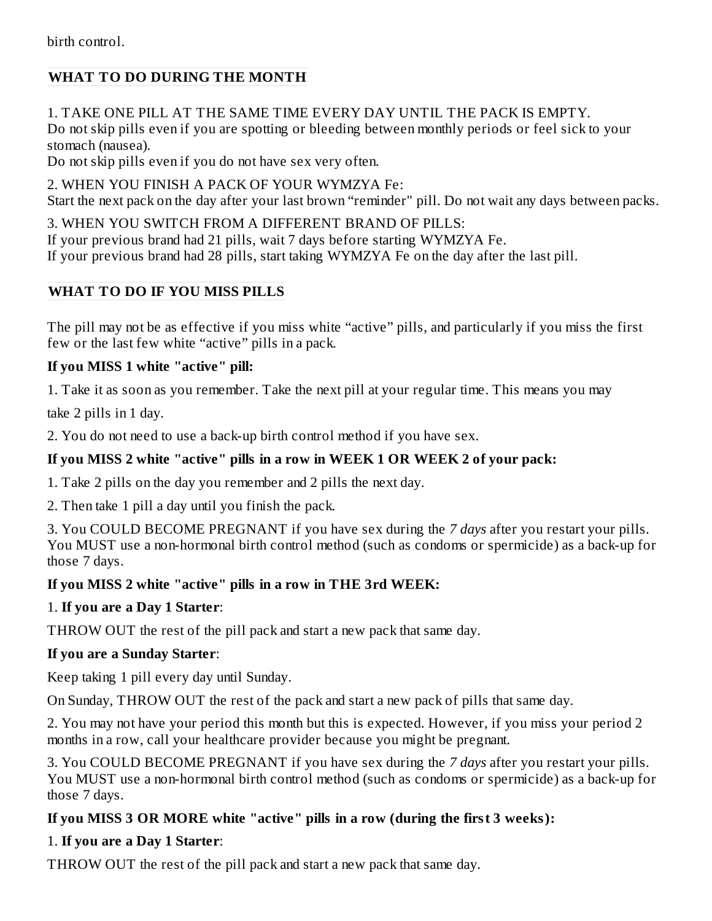## **WHAT TO DO DURING THE MONTH**

1. TAKE ONE PILL AT THE SAME TIME EVERY DAY UNTIL THE PACK IS EMPTY. Do not skip pills even if you are spotting or bleeding between monthly periods or feel sick to your stomach (nausea).

Do not skip pills even if you do not have sex very often.

2. WHEN YOU FINISH A PACK OF YOUR WYMZYA Fe: Start the next pack on the day after your last brown "reminder" pill. Do not wait any days between packs.

3. WHEN YOU SWITCH FROM A DIFFERENT BRAND OF PILLS: If your previous brand had 21 pills, wait 7 days before starting WYMZYA Fe. If your previous brand had 28 pills, start taking WYMZYA Fe on the day after the last pill.

## **WHAT TO DO IF YOU MISS PILLS**

The pill may not be as effective if you miss white "active" pills, and particularly if you miss the first few or the last few white "active" pills in a pack.

#### **If you MISS 1 white "active" pill:**

1. Take it as soon as you remember. Take the next pill at your regular time. This means you may

take 2 pills in 1 day.

2. You do not need to use a back-up birth control method if you have sex.

## **If you MISS 2 white "active" pills in a row in WEEK 1 OR WEEK 2 of your pack:**

1. Take 2 pills on the day you remember and 2 pills the next day.

2. Then take 1 pill a day until you finish the pack.

3. You COULD BECOME PREGNANT if you have sex during the *7 days* after you restart your pills. You MUST use a non-hormonal birth control method (such as condoms or spermicide) as a back-up for those 7 days.

#### **If you MISS 2 white "active" pills in a row in THE 3rd WEEK:**

#### 1. **If you are a Day 1 Starter**:

THROW OUT the rest of the pill pack and start a new pack that same day.

#### **If you are a Sunday Starter**:

Keep taking 1 pill every day until Sunday.

On Sunday, THROW OUT the rest of the pack and start a new pack of pills that same day.

2. You may not have your period this month but this is expected. However, if you miss your period 2 months in a row, call your healthcare provider because you might be pregnant.

3. You COULD BECOME PREGNANT if you have sex during the *7 days* after you restart your pills. You MUST use a non-hormonal birth control method (such as condoms or spermicide) as a back-up for those 7 days.

#### **If you MISS 3 OR MORE white "active" pills in a row (during the first 3 weeks):**

#### 1. **If you are a Day 1 Starter**:

THROW OUT the rest of the pill pack and start a new pack that same day.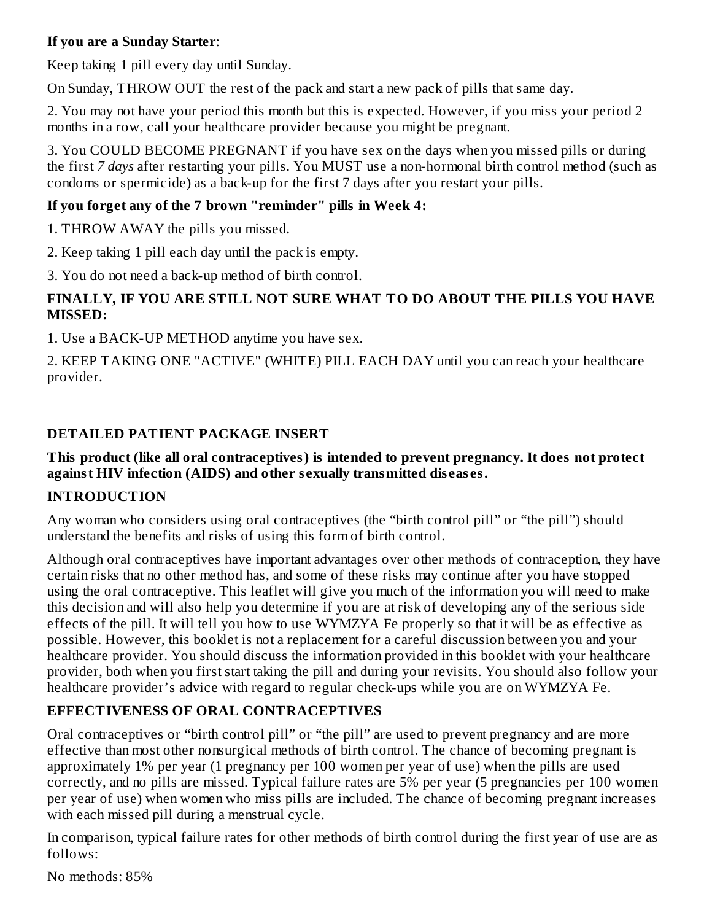#### **If you are a Sunday Starter**:

Keep taking 1 pill every day until Sunday.

On Sunday, THROW OUT the rest of the pack and start a new pack of pills that same day.

2. You may not have your period this month but this is expected. However, if you miss your period 2 months in a row, call your healthcare provider because you might be pregnant.

3. You COULD BECOME PREGNANT if you have sex on the days when you missed pills or during the first *7 days* after restarting your pills. You MUST use a non-hormonal birth control method (such as condoms or spermicide) as a back-up for the first 7 days after you restart your pills.

#### **If you forget any of the 7 brown "reminder" pills in Week 4:**

1. THROW AWAY the pills you missed.

2. Keep taking 1 pill each day until the pack is empty.

3. You do not need a back-up method of birth control.

#### **FINALLY, IF YOU ARE STILL NOT SURE WHAT TO DO ABOUT THE PILLS YOU HAVE MISSED:**

1. Use a BACK-UP METHOD anytime you have sex.

2. KEEP TAKING ONE "ACTIVE" (WHITE) PILL EACH DAY until you can reach your healthcare provider.

## **DETAILED PATIENT PACKAGE INSERT**

#### **This product (like all oral contraceptives) is intended to prevent pregnancy. It does not protect against HIV infection (AIDS) and other s exually transmitted dis eas es.**

## **INTRODUCTION**

Any woman who considers using oral contraceptives (the "birth control pill" or "the pill") should understand the benefits and risks of using this form of birth control.

Although oral contraceptives have important advantages over other methods of contraception, they have certain risks that no other method has, and some of these risks may continue after you have stopped using the oral contraceptive. This leaflet will give you much of the information you will need to make this decision and will also help you determine if you are at risk of developing any of the serious side effects of the pill. It will tell you how to use WYMZYA Fe properly so that it will be as effective as possible. However, this booklet is not a replacement for a careful discussion between you and your healthcare provider. You should discuss the information provided in this booklet with your healthcare provider, both when you first start taking the pill and during your revisits. You should also follow your healthcare provider's advice with regard to regular check-ups while you are on WYMZYA Fe.

## **EFFECTIVENESS OF ORAL CONTRACEPTIVES**

Oral contraceptives or "birth control pill" or "the pill" are used to prevent pregnancy and are more effective than most other nonsurgical methods of birth control. The chance of becoming pregnant is approximately 1% per year (1 pregnancy per 100 women per year of use) when the pills are used correctly, and no pills are missed. Typical failure rates are 5% per year (5 pregnancies per 100 women per year of use) when women who miss pills are included. The chance of becoming pregnant increases with each missed pill during a menstrual cycle.

In comparison, typical failure rates for other methods of birth control during the first year of use are as follows:

No methods: 85%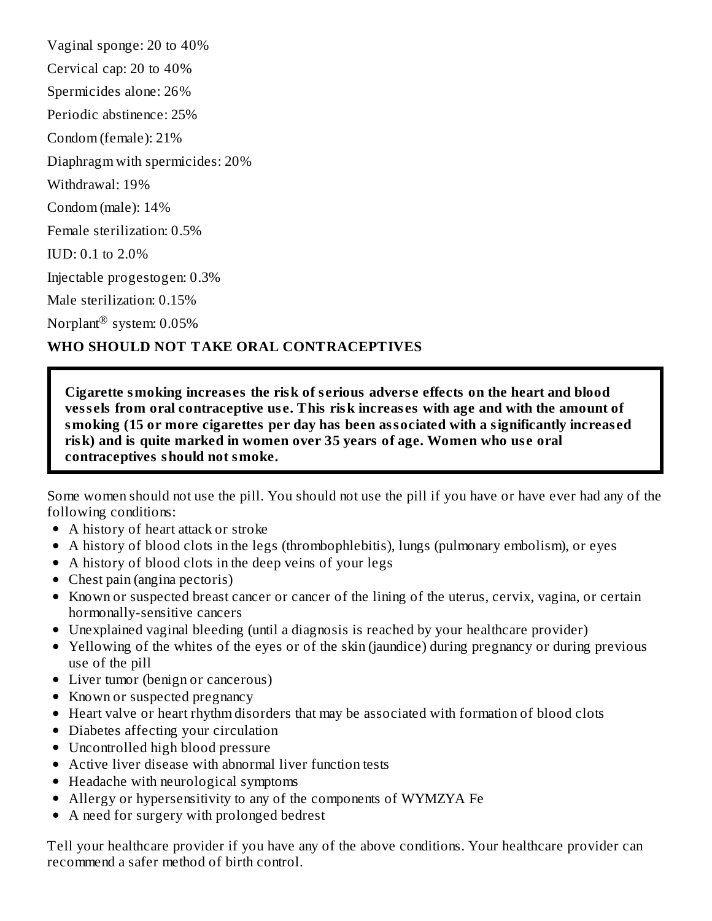Vaginal sponge: 20 to 40% Cervical cap: 20 to 40% Spermicides alone: 26% Periodic abstinence: 25% Condom (female): 21% Diaphragm with spermicides: 20% Withdrawal: 19% Condom (male): 14% Female sterilization: 0.5% IUD: 0.1 to 2.0% Injectable progestogen: 0.3% Male sterilization: 0.15% Norplant $^\circledR$  system: 0.05%

#### **WHO SHOULD NOT TAKE ORAL CONTRACEPTIVES**

**Cigarette smoking increas es the risk of s erious advers e effects on the heart and blood vess els from oral contraceptive us e. This risk increas es with age and with the amount of smoking (15 or more cigarettes per day has been associated with a significantly increas ed risk) and is quite marked in women over 35 years of age. Women who us e oral contraceptives should not smoke.**

Some women should not use the pill. You should not use the pill if you have or have ever had any of the following conditions:

- A history of heart attack or stroke
- A history of blood clots in the legs (thrombophlebitis), lungs (pulmonary embolism), or eyes
- A history of blood clots in the deep veins of your legs
- Chest pain (angina pectoris)
- Known or suspected breast cancer or cancer of the lining of the uterus, cervix, vagina, or certain hormonally-sensitive cancers
- Unexplained vaginal bleeding (until a diagnosis is reached by your healthcare provider)
- Yellowing of the whites of the eyes or of the skin (jaundice) during pregnancy or during previous use of the pill
- Liver tumor (benign or cancerous)
- Known or suspected pregnancy
- Heart valve or heart rhythm disorders that may be associated with formation of blood clots
- Diabetes affecting your circulation
- Uncontrolled high blood pressure
- Active liver disease with abnormal liver function tests
- Headache with neurological symptoms
- Allergy or hypersensitivity to any of the components of WYMZYA Fe
- A need for surgery with prolonged bedrest

Tell your healthcare provider if you have any of the above conditions. Your healthcare provider can recommend a safer method of birth control.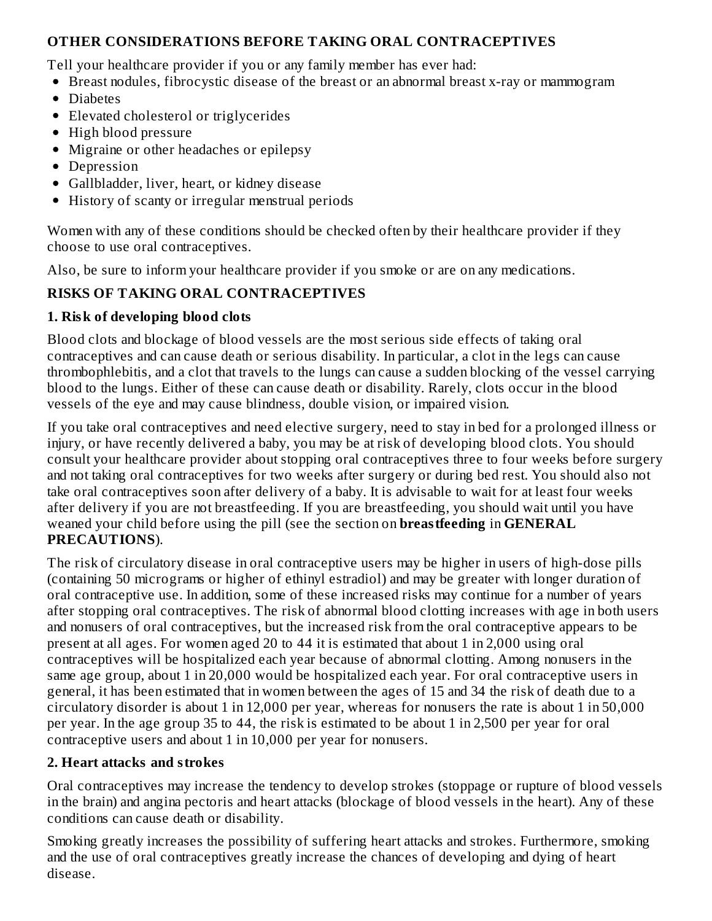#### **OTHER CONSIDERATIONS BEFORE TAKING ORAL CONTRACEPTIVES**

Tell your healthcare provider if you or any family member has ever had:

- Breast nodules, fibrocystic disease of the breast or an abnormal breast x-ray or mammogram
- Diabetes
- Elevated cholesterol or triglycerides
- High blood pressure
- Migraine or other headaches or epilepsy
- Depression
- Gallbladder, liver, heart, or kidney disease
- History of scanty or irregular menstrual periods  $\bullet$

Women with any of these conditions should be checked often by their healthcare provider if they choose to use oral contraceptives.

Also, be sure to inform your healthcare provider if you smoke or are on any medications.

#### **RISKS OF TAKING ORAL CONTRACEPTIVES**

#### **1. Risk of developing blood clots**

Blood clots and blockage of blood vessels are the most serious side effects of taking oral contraceptives and can cause death or serious disability. In particular, a clot in the legs can cause thrombophlebitis, and a clot that travels to the lungs can cause a sudden blocking of the vessel carrying blood to the lungs. Either of these can cause death or disability. Rarely, clots occur in the blood vessels of the eye and may cause blindness, double vision, or impaired vision.

If you take oral contraceptives and need elective surgery, need to stay in bed for a prolonged illness or injury, or have recently delivered a baby, you may be at risk of developing blood clots. You should consult your healthcare provider about stopping oral contraceptives three to four weeks before surgery and not taking oral contraceptives for two weeks after surgery or during bed rest. You should also not take oral contraceptives soon after delivery of a baby. It is advisable to wait for at least four weeks after delivery if you are not breastfeeding. If you are breastfeeding, you should wait until you have weaned your child before using the pill (see the section on **breastfeeding** in **GENERAL PRECAUTIONS**).

The risk of circulatory disease in oral contraceptive users may be higher in users of high-dose pills (containing 50 micrograms or higher of ethinyl estradiol) and may be greater with longer duration of oral contraceptive use. In addition, some of these increased risks may continue for a number of years after stopping oral contraceptives. The risk of abnormal blood clotting increases with age in both users and nonusers of oral contraceptives, but the increased risk from the oral contraceptive appears to be present at all ages. For women aged 20 to 44 it is estimated that about 1 in 2,000 using oral contraceptives will be hospitalized each year because of abnormal clotting. Among nonusers in the same age group, about 1 in 20,000 would be hospitalized each year. For oral contraceptive users in general, it has been estimated that in women between the ages of 15 and 34 the risk of death due to a circulatory disorder is about 1 in 12,000 per year, whereas for nonusers the rate is about 1 in 50,000 per year. In the age group 35 to 44, the risk is estimated to be about 1 in 2,500 per year for oral contraceptive users and about 1 in 10,000 per year for nonusers.

#### **2. Heart attacks and strokes**

Oral contraceptives may increase the tendency to develop strokes (stoppage or rupture of blood vessels in the brain) and angina pectoris and heart attacks (blockage of blood vessels in the heart). Any of these conditions can cause death or disability.

Smoking greatly increases the possibility of suffering heart attacks and strokes. Furthermore, smoking and the use of oral contraceptives greatly increase the chances of developing and dying of heart disease.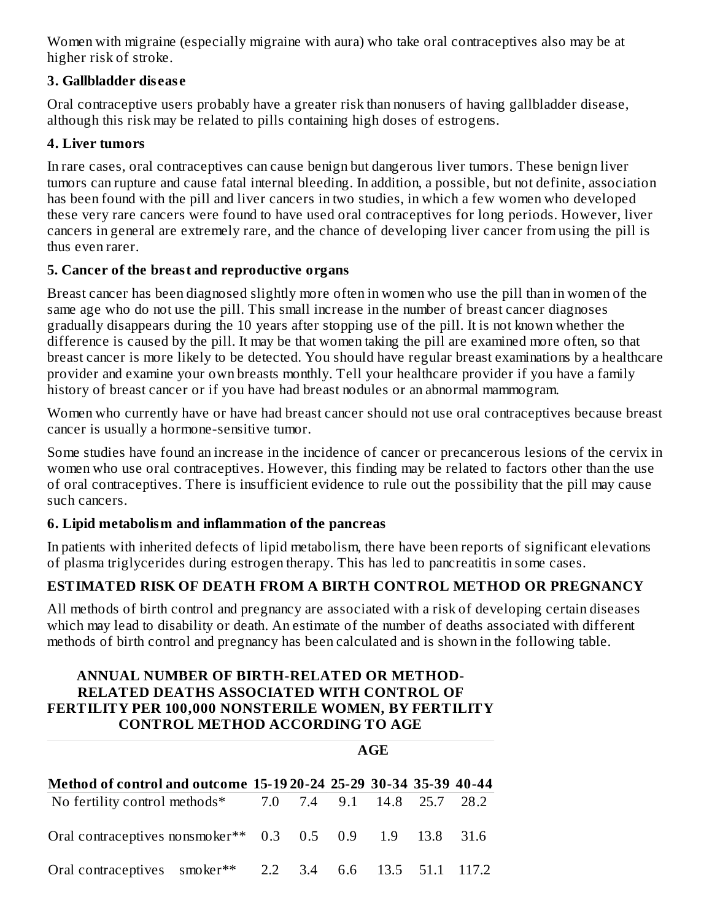Women with migraine (especially migraine with aura) who take oral contraceptives also may be at higher risk of stroke.

#### **3. Gallbladder dis eas e**

Oral contraceptive users probably have a greater risk than nonusers of having gallbladder disease, although this risk may be related to pills containing high doses of estrogens.

#### **4. Liver tumors**

In rare cases, oral contraceptives can cause benign but dangerous liver tumors. These benign liver tumors can rupture and cause fatal internal bleeding. In addition, a possible, but not definite, association has been found with the pill and liver cancers in two studies, in which a few women who developed these very rare cancers were found to have used oral contraceptives for long periods. However, liver cancers in general are extremely rare, and the chance of developing liver cancer from using the pill is thus even rarer.

## **5. Cancer of the breast and reproductive organs**

Breast cancer has been diagnosed slightly more often in women who use the pill than in women of the same age who do not use the pill. This small increase in the number of breast cancer diagnoses gradually disappears during the 10 years after stopping use of the pill. It is not known whether the difference is caused by the pill. It may be that women taking the pill are examined more often, so that breast cancer is more likely to be detected. You should have regular breast examinations by a healthcare provider and examine your own breasts monthly. Tell your healthcare provider if you have a family history of breast cancer or if you have had breast nodules or an abnormal mammogram.

Women who currently have or have had breast cancer should not use oral contraceptives because breast cancer is usually a hormone-sensitive tumor.

Some studies have found an increase in the incidence of cancer or precancerous lesions of the cervix in women who use oral contraceptives. However, this finding may be related to factors other than the use of oral contraceptives. There is insufficient evidence to rule out the possibility that the pill may cause such cancers.

## **6. Lipid metabolism and inflammation of the pancreas**

In patients with inherited defects of lipid metabolism, there have been reports of significant elevations of plasma triglycerides during estrogen therapy. This has led to pancreatitis in some cases.

# **ESTIMATED RISK OF DEATH FROM A BIRTH CONTROL METHOD OR PREGNANCY**

All methods of birth control and pregnancy are associated with a risk of developing certain diseases which may lead to disability or death. An estimate of the number of deaths associated with different methods of birth control and pregnancy has been calculated and is shown in the following table.

#### **ANNUAL NUMBER OF BIRTH-RELATED OR METHOD-RELATED DEATHS ASSOCIATED WITH CONTROL OF FERTILITY PER 100,000 NONSTERILE WOMEN, BY FERTILITY CONTROL METHOD ACCORDING TO AGE**

|                                                                   |  | AGE |  |  |
|-------------------------------------------------------------------|--|-----|--|--|
| Method of control and outcome 15-19 20-24 25-29 30-34 35-39 40-44 |  |     |  |  |
| No fertility control methods* 7.0 7.4 9.1 14.8 25.7 28.2          |  |     |  |  |
| Oral contraceptives nonsmoker** 0.3 0.5 0.9 1.9 13.8 31.6         |  |     |  |  |
| Oral contraceptives smoker** 2.2 3.4 6.6 13.5 51.1 117.2          |  |     |  |  |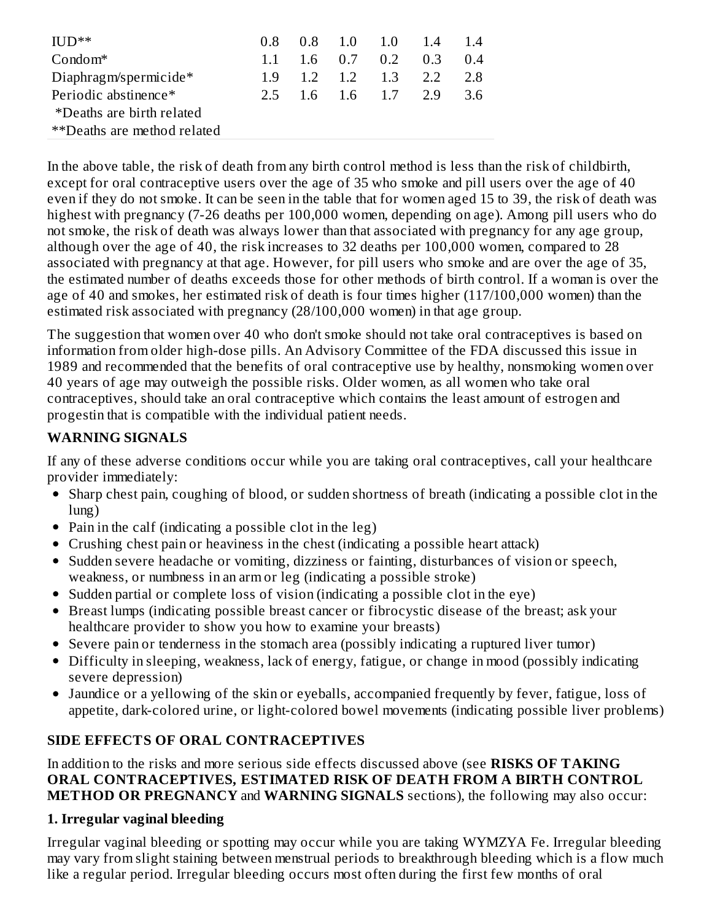| $ID**$                      |     |                 | $0.8$ $0.8$ $1.0$ $1.0$ $1.4$ |     |
|-----------------------------|-----|-----------------|-------------------------------|-----|
| $Condom^*$                  | 1.1 |                 | $1.6$ 0.7 0.2 0.3             | 04  |
| Diaphragm/spermicide*       | 1 9 | $1.2 \quad 1.2$ | 1.3 2.2                       | 28  |
| Periodic abstinence*        | 25. |                 | 1.6 1.6 1.7 2.9               | 3.6 |
| *Deaths are birth related   |     |                 |                               |     |
| **Deaths are method related |     |                 |                               |     |
|                             |     |                 |                               |     |

In the above table, the risk of death from any birth control method is less than the risk of childbirth, except for oral contraceptive users over the age of 35 who smoke and pill users over the age of 40 even if they do not smoke. It can be seen in the table that for women aged 15 to 39, the risk of death was highest with pregnancy (7-26 deaths per 100,000 women, depending on age). Among pill users who do not smoke, the risk of death was always lower than that associated with pregnancy for any age group, although over the age of 40, the risk increases to 32 deaths per 100,000 women, compared to 28 associated with pregnancy at that age. However, for pill users who smoke and are over the age of 35, the estimated number of deaths exceeds those for other methods of birth control. If a woman is over the age of 40 and smokes, her estimated risk of death is four times higher (117/100,000 women) than the estimated risk associated with pregnancy (28/100,000 women) in that age group.

The suggestion that women over 40 who don't smoke should not take oral contraceptives is based on information from older high-dose pills. An Advisory Committee of the FDA discussed this issue in 1989 and recommended that the benefits of oral contraceptive use by healthy, nonsmoking women over 40 years of age may outweigh the possible risks. Older women, as all women who take oral contraceptives, should take an oral contraceptive which contains the least amount of estrogen and progestin that is compatible with the individual patient needs.

#### **WARNING SIGNALS**

If any of these adverse conditions occur while you are taking oral contraceptives, call your healthcare provider immediately:

- Sharp chest pain, coughing of blood, or sudden shortness of breath (indicating a possible clot in the lung)
- Pain in the calf (indicating a possible clot in the leg)
- Crushing chest pain or heaviness in the chest (indicating a possible heart attack)
- Sudden severe headache or vomiting, dizziness or fainting, disturbances of vision or speech, weakness, or numbness in an arm or leg (indicating a possible stroke)
- Sudden partial or complete loss of vision (indicating a possible clot in the eye)
- Breast lumps (indicating possible breast cancer or fibrocystic disease of the breast; ask your healthcare provider to show you how to examine your breasts)
- Severe pain or tenderness in the stomach area (possibly indicating a ruptured liver tumor)
- Difficulty in sleeping, weakness, lack of energy, fatigue, or change in mood (possibly indicating severe depression)
- Jaundice or a yellowing of the skin or eyeballs, accompanied frequently by fever, fatigue, loss of appetite, dark-colored urine, or light-colored bowel movements (indicating possible liver problems)

#### **SIDE EFFECTS OF ORAL CONTRACEPTIVES**

In addition to the risks and more serious side effects discussed above (see **RISKS OF TAKING ORAL CONTRACEPTIVES, ESTIMATED RISK OF DEATH FROM A BIRTH CONTROL METHOD OR PREGNANCY** and **WARNING SIGNALS** sections), the following may also occur:

#### **1. Irregular vaginal bleeding**

Irregular vaginal bleeding or spotting may occur while you are taking WYMZYA Fe. Irregular bleeding may vary from slight staining between menstrual periods to breakthrough bleeding which is a flow much like a regular period. Irregular bleeding occurs most often during the first few months of oral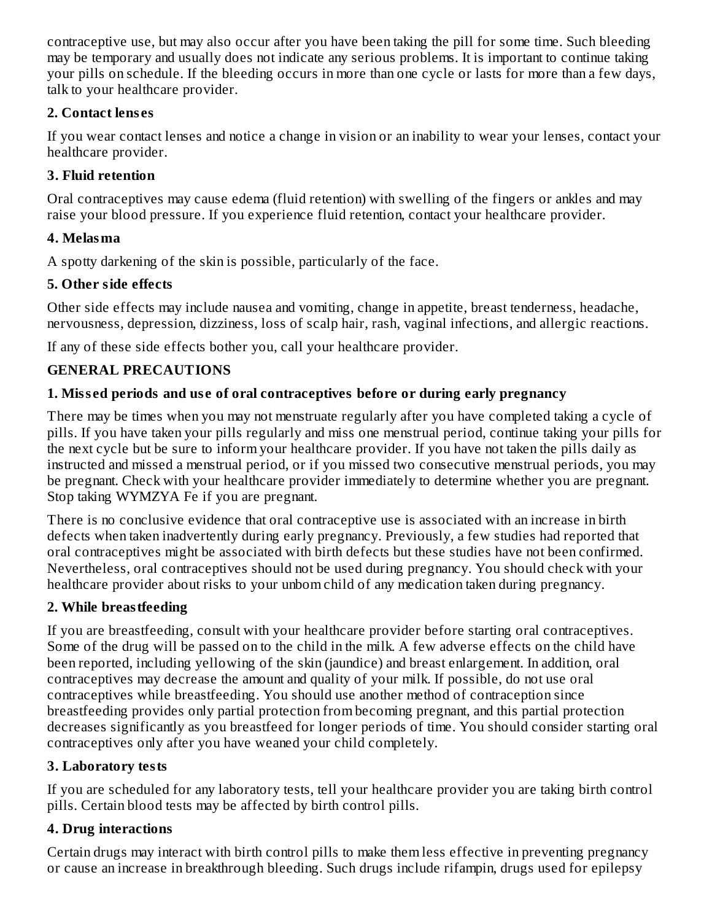contraceptive use, but may also occur after you have been taking the pill for some time. Such bleeding may be temporary and usually does not indicate any serious problems. It is important to continue taking your pills on schedule. If the bleeding occurs in more than one cycle or lasts for more than a few days, talk to your healthcare provider.

#### **2. Contact lens es**

If you wear contact lenses and notice a change in vision or an inability to wear your lenses, contact your healthcare provider.

## **3. Fluid retention**

Oral contraceptives may cause edema (fluid retention) with swelling of the fingers or ankles and may raise your blood pressure. If you experience fluid retention, contact your healthcare provider.

## **4. Melasma**

A spotty darkening of the skin is possible, particularly of the face.

## **5. Other side effects**

Other side effects may include nausea and vomiting, change in appetite, breast tenderness, headache, nervousness, depression, dizziness, loss of scalp hair, rash, vaginal infections, and allergic reactions.

If any of these side effects bother you, call your healthcare provider.

## **GENERAL PRECAUTIONS**

## **1. Miss ed periods and us e of oral contraceptives before or during early pregnancy**

There may be times when you may not menstruate regularly after you have completed taking a cycle of pills. If you have taken your pills regularly and miss one menstrual period, continue taking your pills for the next cycle but be sure to inform your healthcare provider. If you have not taken the pills daily as instructed and missed a menstrual period, or if you missed two consecutive menstrual periods, you may be pregnant. Check with your healthcare provider immediately to determine whether you are pregnant. Stop taking WYMZYA Fe if you are pregnant.

There is no conclusive evidence that oral contraceptive use is associated with an increase in birth defects when taken inadvertently during early pregnancy. Previously, a few studies had reported that oral contraceptives might be associated with birth defects but these studies have not been confirmed. Nevertheless, oral contraceptives should not be used during pregnancy. You should check with your healthcare provider about risks to your unbom child of any medication taken during pregnancy.

#### **2. While breastfeeding**

If you are breastfeeding, consult with your healthcare provider before starting oral contraceptives. Some of the drug will be passed on to the child in the milk. A few adverse effects on the child have been reported, including yellowing of the skin (jaundice) and breast enlargement. In addition, oral contraceptives may decrease the amount and quality of your milk. If possible, do not use oral contraceptives while breastfeeding. You should use another method of contraception since breastfeeding provides only partial protection from becoming pregnant, and this partial protection decreases significantly as you breastfeed for longer periods of time. You should consider starting oral contraceptives only after you have weaned your child completely.

#### **3. Laboratory tests**

If you are scheduled for any laboratory tests, tell your healthcare provider you are taking birth control pills. Certain blood tests may be affected by birth control pills.

## **4. Drug interactions**

Certain drugs may interact with birth control pills to make them less effective in preventing pregnancy or cause an increase in breakthrough bleeding. Such drugs include rifampin, drugs used for epilepsy ®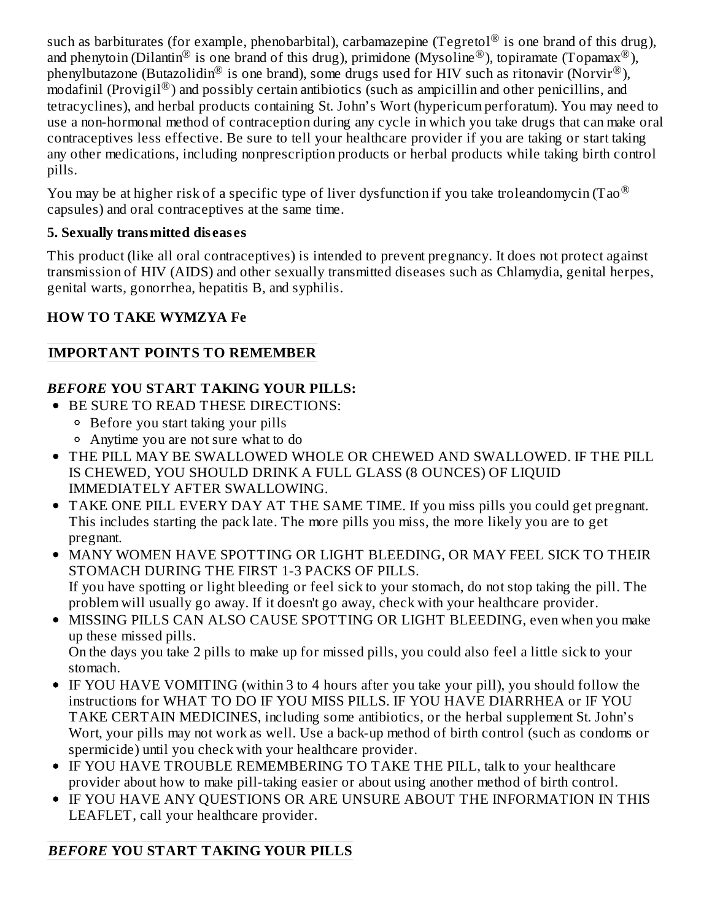such as barbiturates (for example, phenobarbital), carbamazepine (Tegretol $^{\circledR}$  is one brand of this drug), and phenytoin (Dilantin<sup>®</sup> is one brand of this drug), primidone (Mysoline®), topiramate (Topamax<sup>®</sup>), phenylbutazone (Butazolidin<sup>®</sup> is one brand), some drugs used for HIV such as ritonavir (Norvir<sup>®</sup>),  $\overline{a}$  modafinil (Provigil $^circledast)$  and possibly certain antibiotics (such as ampicillin and other penicillins, and tetracyclines), and herbal products containing St. John's Wort (hypericum perforatum). You may need to use a non-hormonal method of contraception during any cycle in which you take drugs that can make oral contraceptives less effective. Be sure to tell your healthcare provider if you are taking or start taking any other medications, including nonprescription products or herbal products while taking birth control pills.

You may be at higher risk of a specific type of liver dysfunction if you take troleandomycin (Tao $^\circledR$ capsules) and oral contraceptives at the same time.

## **5. Sexually transmitted dis eas es**

This product (like all oral contraceptives) is intended to prevent pregnancy. It does not protect against transmission of HIV (AIDS) and other sexually transmitted diseases such as Chlamydia, genital herpes, genital warts, gonorrhea, hepatitis B, and syphilis.

## **HOW TO TAKE WYMZYA Fe**

## **IMPORTANT POINTS TO REMEMBER**

## *BEFORE* **YOU START TAKING YOUR PILLS:**

- BE SURE TO READ THESE DIRECTIONS:
	- Before you start taking your pills
	- Anytime you are not sure what to do
- THE PILL MAY BE SWALLOWED WHOLE OR CHEWED AND SWALLOWED. IF THE PILL IS CHEWED, YOU SHOULD DRINK A FULL GLASS (8 OUNCES) OF LIQUID IMMEDIATELY AFTER SWALLOWING.
- TAKE ONE PILL EVERY DAY AT THE SAME TIME. If you miss pills you could get pregnant. This includes starting the pack late. The more pills you miss, the more likely you are to get pregnant.
- MANY WOMEN HAVE SPOTTING OR LIGHT BLEEDING, OR MAY FEEL SICK TO THEIR STOMACH DURING THE FIRST 1-3 PACKS OF PILLS. If you have spotting or light bleeding or feel sick to your stomach, do not stop taking the pill. The problem will usually go away. If it doesn't go away, check with your healthcare provider.
- MISSING PILLS CAN ALSO CAUSE SPOTTING OR LIGHT BLEEDING, even when you make up these missed pills. On the days you take 2 pills to make up for missed pills, you could also feel a little sick to your

stomach.

- IF YOU HAVE VOMITING (within 3 to 4 hours after you take your pill), you should follow the instructions for WHAT TO DO IF YOU MISS PILLS. IF YOU HAVE DIARRHEA or IF YOU TAKE CERTAIN MEDICINES, including some antibiotics, or the herbal supplement St. John's Wort, your pills may not work as well. Use a back-up method of birth control (such as condoms or spermicide) until you check with your healthcare provider.
- IF YOU HAVE TROUBLE REMEMBERING TO TAKE THE PILL, talk to your healthcare provider about how to make pill-taking easier or about using another method of birth control.
- IF YOU HAVE ANY QUESTIONS OR ARE UNSURE ABOUT THE INFORMATION IN THIS LEAFLET, call your healthcare provider.

# *BEFORE* **YOU START TAKING YOUR PILLS**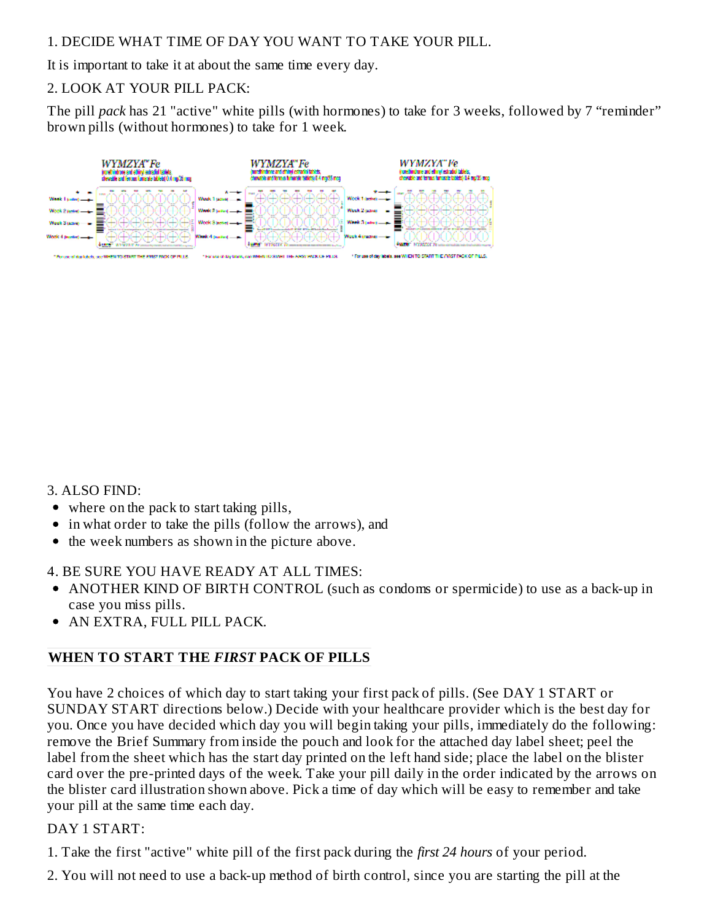1. DECIDE WHAT TIME OF DAY YOU WANT TO TAKE YOUR PILL.

It is important to take it at about the same time every day.

#### 2. LOOK AT YOUR PILL PACK:

The pill *pack* has 21 "active" white pills (with hormones) to take for 3 weeks, followed by 7 "reminder" brown pills (without hormones) to take for 1 week.

#### 3. ALSO FIND:

- where on the pack to start taking pills,
- in what order to take the pills (follow the arrows), and
- the week numbers as shown in the picture above.

4. BE SURE YOU HAVE READY AT ALL TIMES:

- ANOTHER KIND OF BIRTH CONTROL (such as condoms or spermicide) to use as a back-up in case you miss pills.
- AN EXTRA, FULL PILL PACK.

## **WHEN TO START THE** *FIRST* **PACK OF PILLS**

You have 2 choices of which day to start taking your first pack of pills. (See DAY 1 START or SUNDAY START directions below.) Decide with your healthcare provider which is the best day for you. Once you have decided which day you will begin taking your pills, immediately do the following: remove the Brief Summary from inside the pouch and look for the attached day label sheet; peel the label from the sheet which has the start day printed on the left hand side; place the label on the blister card over the pre-printed days of the week. Take your pill daily in the order indicated by the arrows on the blister card illustration shown above. Pick a time of day which will be easy to remember and take your pill at the same time each day.

#### DAY 1 START:

1. Take the first "active" white pill of the first pack during the *first 24 hours* of your period.

2. You will not need to use a back-up method of birth control, since you are starting the pill at the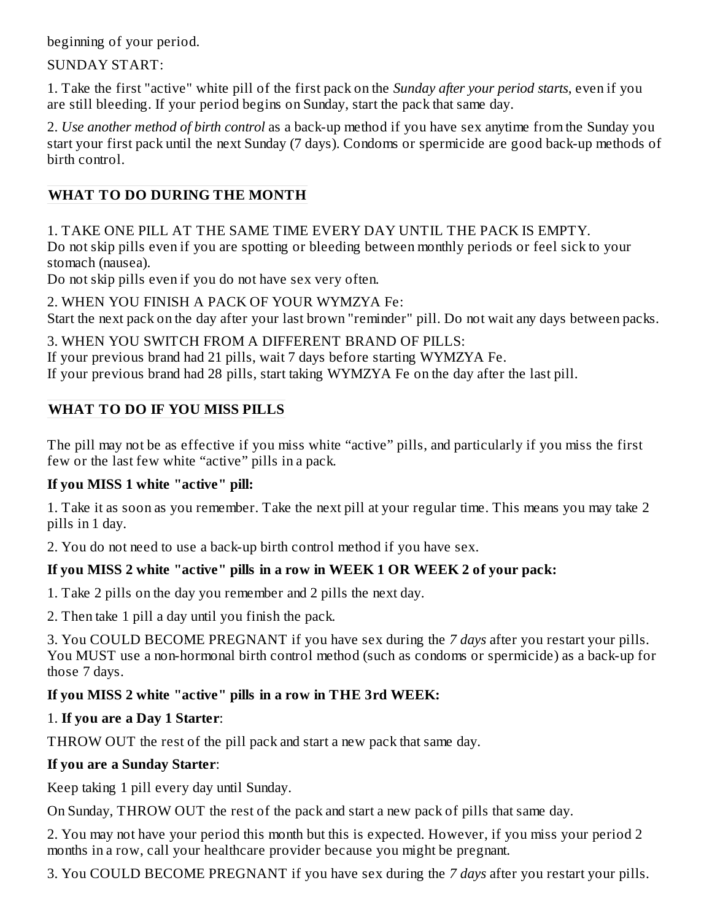beginning of your period.

SUNDAY START:

1. Take the first "active" white pill of the first pack on the *Sunday after your period starts*, even if you are still bleeding. If your period begins on Sunday, start the pack that same day.

2. *Use another method of birth control* as a back-up method if you have sex anytime from the Sunday you start your first pack until the next Sunday (7 days). Condoms or spermicide are good back-up methods of birth control.

## **WHAT TO DO DURING THE MONTH**

1. TAKE ONE PILL AT THE SAME TIME EVERY DAY UNTIL THE PACK IS EMPTY. Do not skip pills even if you are spotting or bleeding between monthly periods or feel sick to your stomach (nausea).

Do not skip pills even if you do not have sex very often.

2. WHEN YOU FINISH A PACK OF YOUR WYMZYA Fe: Start the next pack on the day after your last brown "reminder" pill. Do not wait any days between packs.

3. WHEN YOU SWITCH FROM A DIFFERENT BRAND OF PILLS: If your previous brand had 21 pills, wait 7 days before starting WYMZYA Fe. If your previous brand had 28 pills, start taking WYMZYA Fe on the day after the last pill.

# **WHAT TO DO IF YOU MISS PILLS**

The pill may not be as effective if you miss white "active" pills, and particularly if you miss the first few or the last few white "active" pills in a pack.

## **If you MISS 1 white "active" pill:**

1. Take it as soon as you remember. Take the next pill at your regular time. This means you may take 2 pills in 1 day.

2. You do not need to use a back-up birth control method if you have sex.

## **If you MISS 2 white "active" pills in a row in WEEK 1 OR WEEK 2 of your pack:**

1. Take 2 pills on the day you remember and 2 pills the next day.

2. Then take 1 pill a day until you finish the pack.

3. You COULD BECOME PREGNANT if you have sex during the *7 days* after you restart your pills. You MUST use a non-hormonal birth control method (such as condoms or spermicide) as a back-up for those 7 days.

## **If you MISS 2 white "active" pills in a row in THE 3rd WEEK:**

## 1. **If you are a Day 1 Starter**:

THROW OUT the rest of the pill pack and start a new pack that same day.

## **If you are a Sunday Starter**:

Keep taking 1 pill every day until Sunday.

On Sunday, THROW OUT the rest of the pack and start a new pack of pills that same day.

2. You may not have your period this month but this is expected. However, if you miss your period 2 months in a row, call your healthcare provider because you might be pregnant.

3. You COULD BECOME PREGNANT if you have sex during the *7 days* after you restart your pills.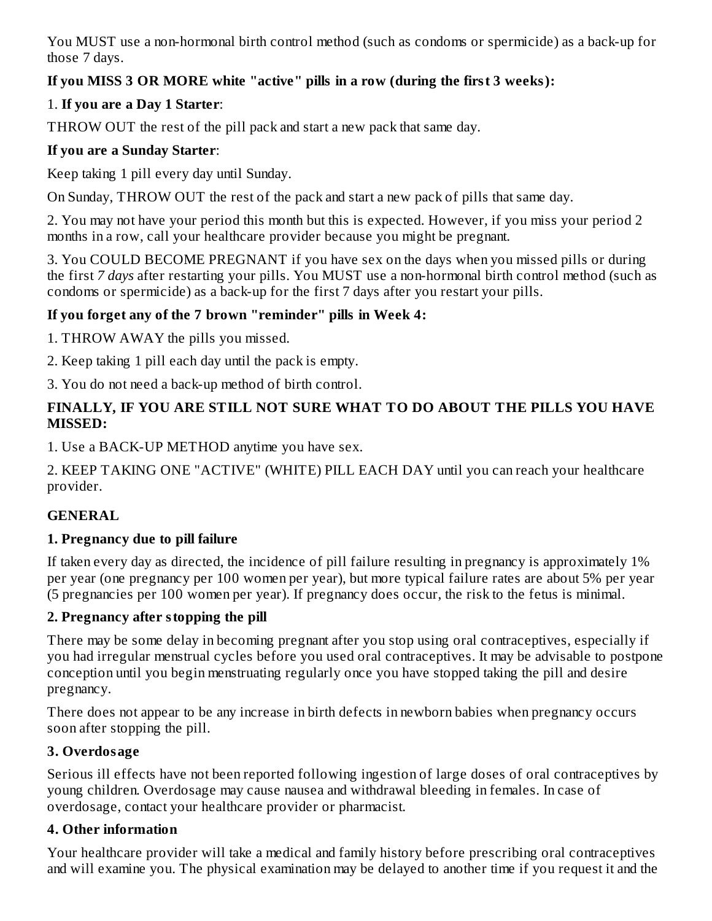You MUST use a non-hormonal birth control method (such as condoms or spermicide) as a back-up for those 7 days.

## **If you MISS 3 OR MORE white "active" pills in a row (during the first 3 weeks):**

## 1. **If you are a Day 1 Starter**:

THROW OUT the rest of the pill pack and start a new pack that same day.

## **If you are a Sunday Starter**:

Keep taking 1 pill every day until Sunday.

On Sunday, THROW OUT the rest of the pack and start a new pack of pills that same day.

2. You may not have your period this month but this is expected. However, if you miss your period 2 months in a row, call your healthcare provider because you might be pregnant.

3. You COULD BECOME PREGNANT if you have sex on the days when you missed pills or during the first *7 days* after restarting your pills. You MUST use a non-hormonal birth control method (such as condoms or spermicide) as a back-up for the first 7 days after you restart your pills.

# **If you forget any of the 7 brown "reminder" pills in Week 4:**

1. THROW AWAY the pills you missed.

2. Keep taking 1 pill each day until the pack is empty.

3. You do not need a back-up method of birth control.

## **FINALLY, IF YOU ARE STILL NOT SURE WHAT TO DO ABOUT THE PILLS YOU HAVE MISSED:**

1. Use a BACK-UP METHOD anytime you have sex.

2. KEEP TAKING ONE "ACTIVE" (WHITE) PILL EACH DAY until you can reach your healthcare provider.

# **GENERAL**

# **1. Pregnancy due to pill failure**

If taken every day as directed, the incidence of pill failure resulting in pregnancy is approximately 1% per year (one pregnancy per 100 women per year), but more typical failure rates are about 5% per year (5 pregnancies per 100 women per year). If pregnancy does occur, the risk to the fetus is minimal.

# **2. Pregnancy after stopping the pill**

There may be some delay in becoming pregnant after you stop using oral contraceptives, especially if you had irregular menstrual cycles before you used oral contraceptives. It may be advisable to postpone conception until you begin menstruating regularly once you have stopped taking the pill and desire pregnancy.

There does not appear to be any increase in birth defects in newborn babies when pregnancy occurs soon after stopping the pill.

# **3. Overdosage**

Serious ill effects have not been reported following ingestion of large doses of oral contraceptives by young children. Overdosage may cause nausea and withdrawal bleeding in females. In case of overdosage, contact your healthcare provider or pharmacist.

# **4. Other information**

Your healthcare provider will take a medical and family history before prescribing oral contraceptives and will examine you. The physical examination may be delayed to another time if you request it and the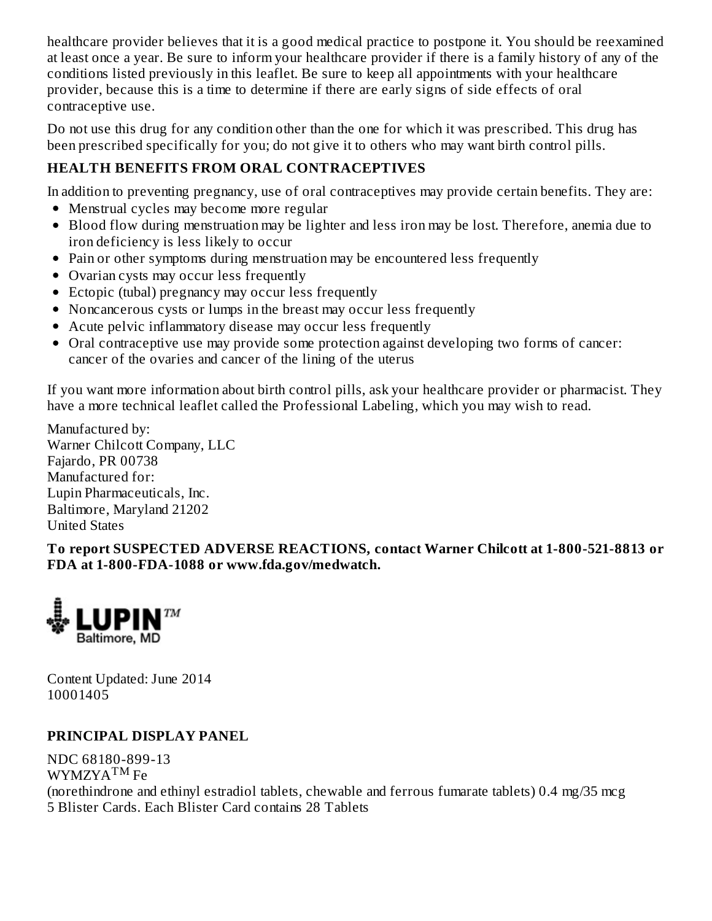healthcare provider believes that it is a good medical practice to postpone it. You should be reexamined at least once a year. Be sure to inform your healthcare provider if there is a family history of any of the conditions listed previously in this leaflet. Be sure to keep all appointments with your healthcare provider, because this is a time to determine if there are early signs of side effects of oral contraceptive use.

Do not use this drug for any condition other than the one for which it was prescribed. This drug has been prescribed specifically for you; do not give it to others who may want birth control pills.

#### **HEALTH BENEFITS FROM ORAL CONTRACEPTIVES**

In addition to preventing pregnancy, use of oral contraceptives may provide certain benefits. They are:

- Menstrual cycles may become more regular
- Blood flow during menstruation may be lighter and less iron may be lost. Therefore, anemia due to iron deficiency is less likely to occur
- Pain or other symptoms during menstruation may be encountered less frequently
- Ovarian cysts may occur less frequently
- Ectopic (tubal) pregnancy may occur less frequently
- Noncancerous cysts or lumps in the breast may occur less frequently
- Acute pelvic inflammatory disease may occur less frequently
- Oral contraceptive use may provide some protection against developing two forms of cancer: cancer of the ovaries and cancer of the lining of the uterus

If you want more information about birth control pills, ask your healthcare provider or pharmacist. They have a more technical leaflet called the Professional Labeling, which you may wish to read.

Manufactured by: Warner Chilcott Company, LLC Fajardo, PR 00738 Manufactured for: Lupin Pharmaceuticals, Inc. Baltimore, Maryland 21202 United States

**To report SUSPECTED ADVERSE REACTIONS, contact Warner Chilcott at 1-800-521-8813 or FDA at 1-800-FDA-1088 or www.fda.gov/medwatch.**



Content Updated: June 2014 10001405

#### **PRINCIPAL DISPLAY PANEL**

NDC 68180-899-13 WYMZYA $^{\mathrm{TM}}$  Fe (norethindrone and ethinyl estradiol tablets, chewable and ferrous fumarate tablets) 0.4 mg/35 mcg 5 Blister Cards. Each Blister Card contains 28 Tablets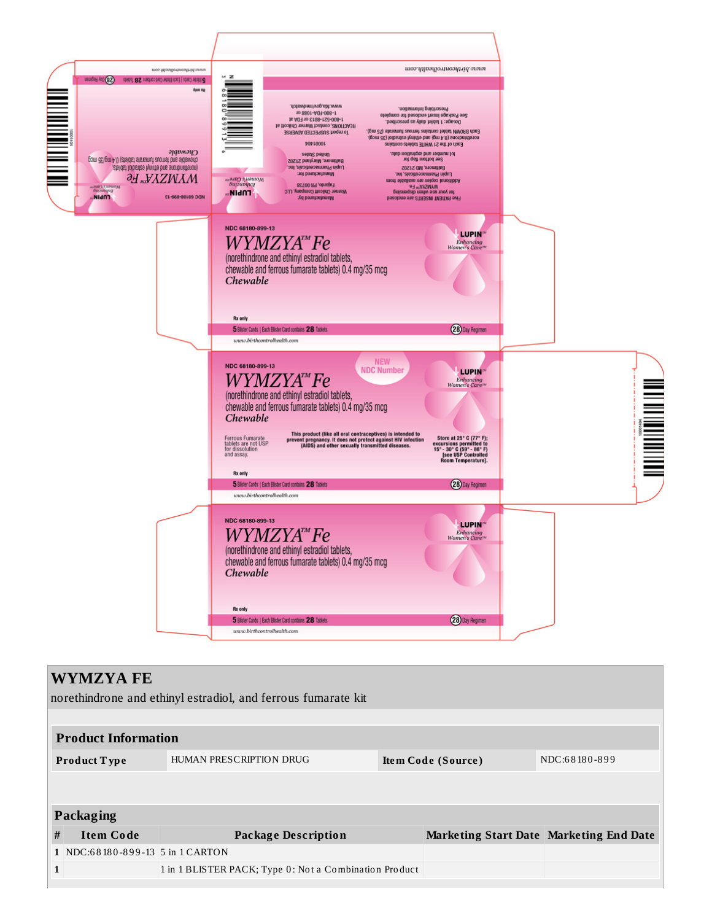

#### **WYMZYA FE**

norethindrone and ethinyl estradiol, and ferrous fumarate kit

| <b>Product Information</b> |                                  |                                                        |  |                    |                                         |  |  |
|----------------------------|----------------------------------|--------------------------------------------------------|--|--------------------|-----------------------------------------|--|--|
|                            | Product Type                     | HUMAN PRESCRIPTION DRUG                                |  | Item Code (Source) | NDC:68180-899                           |  |  |
|                            |                                  |                                                        |  |                    |                                         |  |  |
|                            | Packaging                        |                                                        |  |                    |                                         |  |  |
| #                          | <b>Item Code</b>                 | Package Description                                    |  |                    | Marketing Start Date Marketing End Date |  |  |
|                            | 1 NDC:68180-899-13 5 in 1 CARTON |                                                        |  |                    |                                         |  |  |
| $\mathbf{1}$               |                                  | 1 in 1 BLISTER PACK; Type 0: Not a Combination Product |  |                    |                                         |  |  |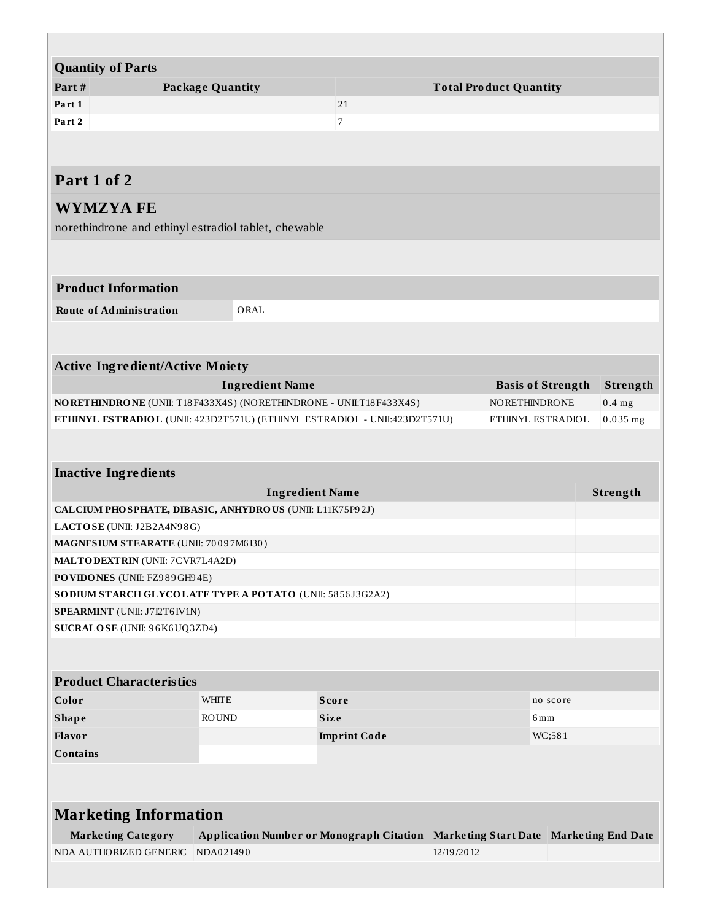| <b>Quantity of Parts</b>                                                   |                                                                                               |                     |                               |                      |                          |            |
|----------------------------------------------------------------------------|-----------------------------------------------------------------------------------------------|---------------------|-------------------------------|----------------------|--------------------------|------------|
| Part#                                                                      | <b>Package Quantity</b>                                                                       |                     | <b>Total Product Quantity</b> |                      |                          |            |
| Part 1                                                                     |                                                                                               | 21                  |                               |                      |                          |            |
| Part 2                                                                     |                                                                                               | 7                   |                               |                      |                          |            |
|                                                                            |                                                                                               |                     |                               |                      |                          |            |
| Part 1 of 2                                                                |                                                                                               |                     |                               |                      |                          |            |
| <b>WYMZYA FE</b>                                                           |                                                                                               |                     |                               |                      |                          |            |
| norethindrone and ethinyl estradiol tablet, chewable                       |                                                                                               |                     |                               |                      |                          |            |
|                                                                            |                                                                                               |                     |                               |                      |                          |            |
|                                                                            |                                                                                               |                     |                               |                      |                          |            |
| <b>Product Information</b>                                                 |                                                                                               |                     |                               |                      |                          |            |
| <b>Route of Administration</b>                                             | ORAL                                                                                          |                     |                               |                      |                          |            |
|                                                                            |                                                                                               |                     |                               |                      |                          |            |
|                                                                            |                                                                                               |                     |                               |                      |                          |            |
| <b>Active Ingredient/Active Moiety</b>                                     |                                                                                               |                     |                               |                      |                          |            |
|                                                                            | <b>Ingredient Name</b>                                                                        |                     |                               |                      | <b>Basis of Strength</b> | Strength   |
| NORETHINDRONE (UNII: T18F433X4S) (NORETHINDRONE - UNII:T18F433X4S)         |                                                                                               |                     |                               | <b>NORETHINDRONE</b> |                          | $0.4$ mg   |
| ETHINYL ESTRADIOL (UNII: 423D2T571U) (ETHINYL ESTRADIOL - UNII:423D2T571U) |                                                                                               |                     |                               | ETHINYL ESTRADIOL    |                          | $0.035$ mg |
|                                                                            |                                                                                               |                     |                               |                      |                          |            |
|                                                                            |                                                                                               |                     |                               |                      |                          |            |
|                                                                            |                                                                                               |                     |                               |                      |                          |            |
| <b>Inactive Ingredients</b>                                                |                                                                                               |                     |                               |                      |                          |            |
|                                                                            | <b>Ingredient Name</b>                                                                        |                     |                               |                      |                          | Strength   |
| CALCIUM PHO SPHATE, DIBASIC, ANHYDROUS (UNII: L11K75P92J)                  |                                                                                               |                     |                               |                      |                          |            |
| LACTOSE (UNII: J2B2A4N98G)                                                 |                                                                                               |                     |                               |                      |                          |            |
| MAGNESIUM STEARATE (UNII: 70097M6I30)                                      |                                                                                               |                     |                               |                      |                          |            |
| <b>MALTODEXTRIN</b> (UNII: 7CVR7L4A2D)<br>PO VIDONES (UNII: FZ989GH94E)    |                                                                                               |                     |                               |                      |                          |            |
| SO DIUM STARCH GLYCOLATE TYPE A POTATO (UNII: 5856J3G2A2)                  |                                                                                               |                     |                               |                      |                          |            |
| SPEARMINT (UNII: J7I2T6 IV1N)                                              |                                                                                               |                     |                               |                      |                          |            |
| SUCRALOSE (UNII: 96K6UQ3ZD4)                                               |                                                                                               |                     |                               |                      |                          |            |
|                                                                            |                                                                                               |                     |                               |                      |                          |            |
|                                                                            |                                                                                               |                     |                               |                      |                          |            |
| <b>Product Characteristics</b>                                             |                                                                                               |                     |                               |                      |                          |            |
| Color                                                                      | <b>WHITE</b>                                                                                  | <b>Score</b>        |                               |                      | no score                 |            |
| <b>Shape</b>                                                               | <b>ROUND</b>                                                                                  | Size                |                               |                      | 6 <sub>mm</sub>          |            |
| Flavor<br><b>Contains</b>                                                  |                                                                                               | <b>Imprint Code</b> |                               |                      | WC;581                   |            |
|                                                                            |                                                                                               |                     |                               |                      |                          |            |
|                                                                            |                                                                                               |                     |                               |                      |                          |            |
|                                                                            |                                                                                               |                     |                               |                      |                          |            |
| <b>Marketing Information</b>                                               |                                                                                               |                     |                               |                      |                          |            |
| <b>Marketing Category</b><br>NDA AUTHORIZED GENERIC                        | Application Number or Monograph Citation Marketing Start Date Marketing End Date<br>NDA021490 |                     | 12/19/2012                    |                      |                          |            |